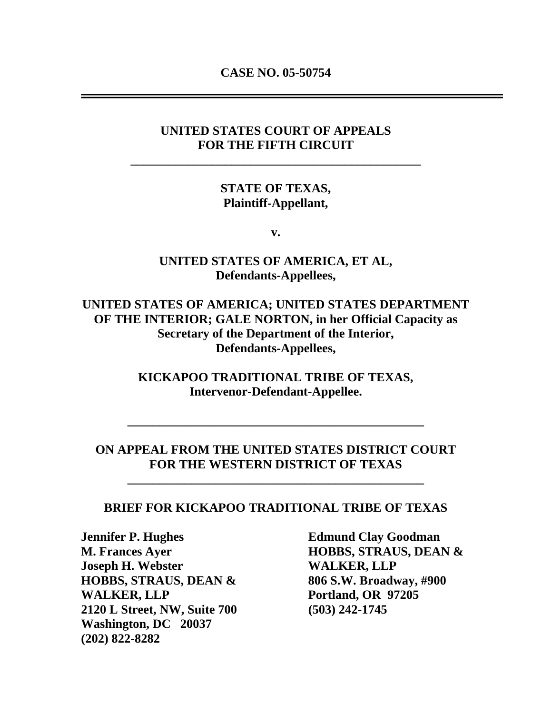**CASE NO. 05-50754** 

## **UNITED STATES COURT OF APPEALS FOR THE FIFTH CIRCUIT**

**\_\_\_\_\_\_\_\_\_\_\_\_\_\_\_\_\_\_\_\_\_\_\_\_\_\_\_\_\_\_\_\_\_\_\_\_\_\_\_\_\_\_\_\_\_\_** 

### **STATE OF TEXAS, Plaintiff-Appellant,**

**v.** 

## **UNITED STATES OF AMERICA, ET AL, Defendants-Appellees,**

**UNITED STATES OF AMERICA; UNITED STATES DEPARTMENT OF THE INTERIOR; GALE NORTON, in her Official Capacity as Secretary of the Department of the Interior, Defendants-Appellees,** 

> **KICKAPOO TRADITIONAL TRIBE OF TEXAS, Intervenor-Defendant-Appellee.**

#### **ON APPEAL FROM THE UNITED STATES DISTRICT COURT FOR THE WESTERN DISTRICT OF TEXAS**

**\_\_\_\_\_\_\_\_\_\_\_\_\_\_\_\_\_\_\_\_\_\_\_\_\_\_\_\_\_\_\_\_\_\_\_\_\_\_\_\_\_\_\_\_\_\_\_** 

**\_\_\_\_\_\_\_\_\_\_\_\_\_\_\_\_\_\_\_\_\_\_\_\_\_\_\_\_\_\_\_\_\_\_\_\_\_\_\_\_\_\_\_\_\_\_\_** 

#### **BRIEF FOR KICKAPOO TRADITIONAL TRIBE OF TEXAS**

**Jennifer P. Hughes Edmund Clay Goodman M. Frances Ayer HOBBS, STRAUS, DEAN & Joseph H. Webster MEALLY Joseph H. Webster HOBBS, STRAUS, DEAN & 806 S.W. Broadway, #900**  WALKER, LLP Portland, OR 97205 **2120 L Street, NW, Suite 700 (503) 242-1745 Washington, DC 20037 (202) 822-8282**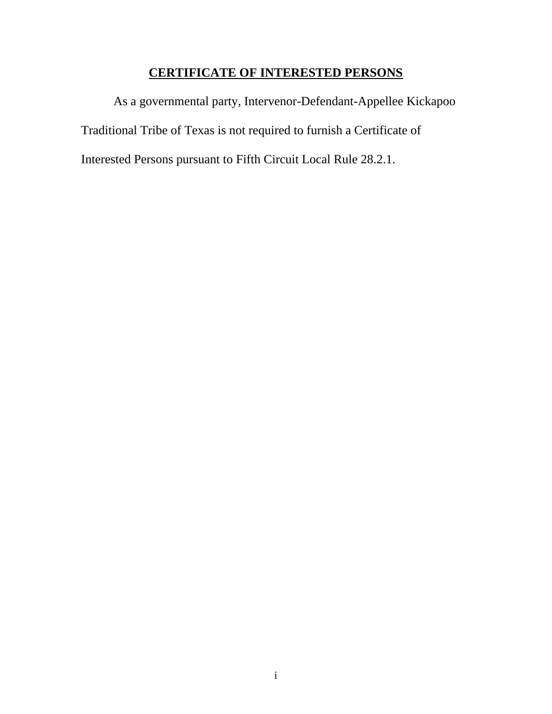# **CERTIFICATE OF INTERESTED PERSONS**

As a governmental party, Intervenor-Defendant-Appellee Kickapoo Traditional Tribe of Texas is not required to furnish a Certificate of Interested Persons pursuant to Fifth Circuit Local Rule 28.2.1.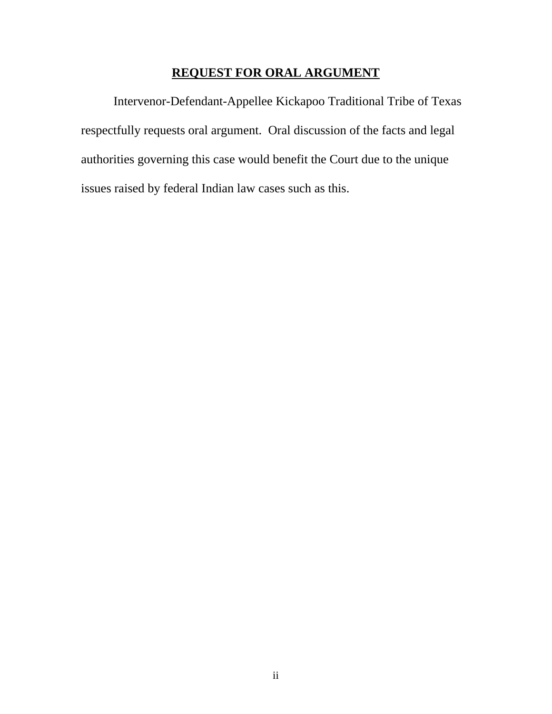## **REQUEST FOR ORAL ARGUMENT**

 Intervenor-Defendant-Appellee Kickapoo Traditional Tribe of Texas respectfully requests oral argument. Oral discussion of the facts and legal authorities governing this case would benefit the Court due to the unique issues raised by federal Indian law cases such as this.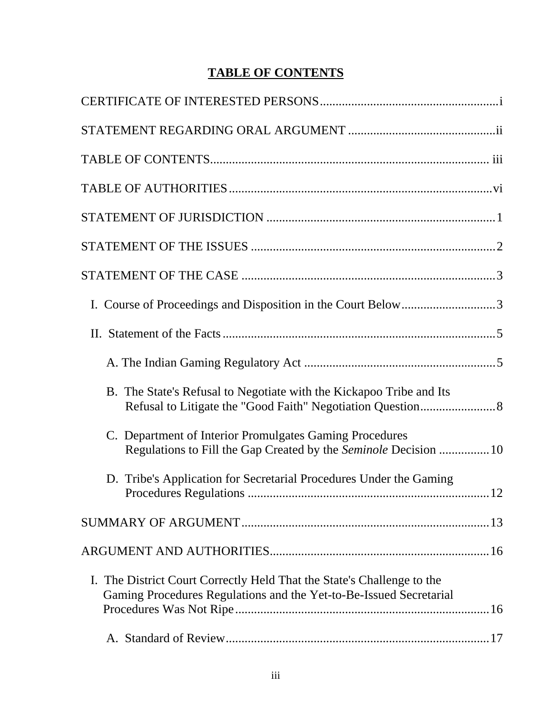# **TABLE OF CONTENTS**

| I. Course of Proceedings and Disposition in the Court Below3                                                                                 |  |
|----------------------------------------------------------------------------------------------------------------------------------------------|--|
|                                                                                                                                              |  |
|                                                                                                                                              |  |
| B. The State's Refusal to Negotiate with the Kickapoo Tribe and Its                                                                          |  |
| Department of Interior Promulgates Gaming Procedures<br>$\mathbf{C}$ .<br>Regulations to Fill the Gap Created by the Seminole Decision  10   |  |
| D. Tribe's Application for Secretarial Procedures Under the Gaming                                                                           |  |
|                                                                                                                                              |  |
|                                                                                                                                              |  |
| I. The District Court Correctly Held That the State's Challenge to the<br>Gaming Procedures Regulations and the Yet-to-Be-Issued Secretarial |  |
|                                                                                                                                              |  |
|                                                                                                                                              |  |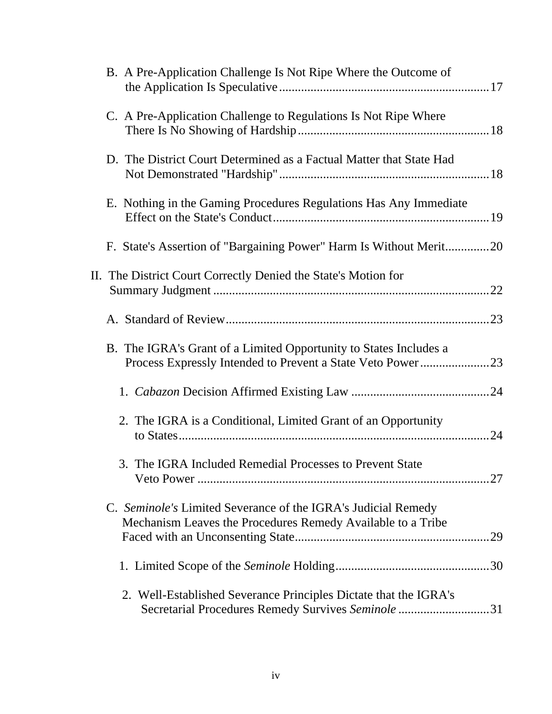| B. A Pre-Application Challenge Is Not Ripe Where the Outcome of                                                               |     |
|-------------------------------------------------------------------------------------------------------------------------------|-----|
| C. A Pre-Application Challenge to Regulations Is Not Ripe Where                                                               |     |
| D. The District Court Determined as a Factual Matter that State Had                                                           |     |
| E. Nothing in the Gaming Procedures Regulations Has Any Immediate                                                             |     |
| F. State's Assertion of "Bargaining Power" Harm Is Without Merit20                                                            |     |
| II. The District Court Correctly Denied the State's Motion for                                                                |     |
|                                                                                                                               |     |
| B. The IGRA's Grant of a Limited Opportunity to States Includes a<br>Process Expressly Intended to Prevent a State Veto Power | .23 |
|                                                                                                                               |     |
| 2. The IGRA is a Conditional, Limited Grant of an Opportunity                                                                 |     |
| 3. The IGRA Included Remedial Processes to Prevent State                                                                      |     |
| C. Seminole's Limited Severance of the IGRA's Judicial Remedy<br>Mechanism Leaves the Procedures Remedy Available to a Tribe  | .29 |
|                                                                                                                               |     |
| 2. Well-Established Severance Principles Dictate that the IGRA's<br>Secretarial Procedures Remedy Survives Seminole 31        |     |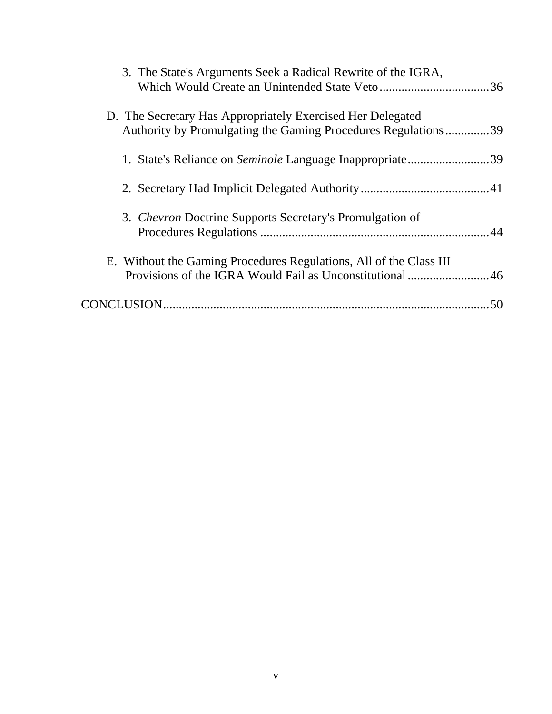| 3. The State's Arguments Seek a Radical Rewrite of the IGRA,                                                                |    |
|-----------------------------------------------------------------------------------------------------------------------------|----|
| D. The Secretary Has Appropriately Exercised Her Delegated<br>Authority by Promulgating the Gaming Procedures Regulations39 |    |
| 1. State's Reliance on Seminole Language Inappropriate39                                                                    |    |
|                                                                                                                             |    |
| 3. Chevron Doctrine Supports Secretary's Promulgation of                                                                    |    |
| E. Without the Gaming Procedures Regulations, All of the Class III                                                          |    |
|                                                                                                                             | 50 |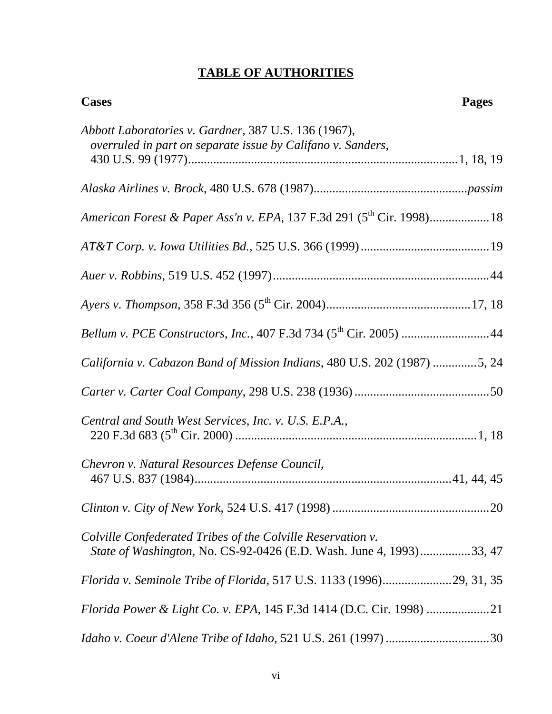# **TABLE OF AUTHORITIES**

| <b>Cases</b>                                                                                                                              | <b>Pages</b> |
|-------------------------------------------------------------------------------------------------------------------------------------------|--------------|
| Abbott Laboratories v. Gardner, 387 U.S. 136 (1967),<br>overruled in part on separate issue by Califano v. Sanders,                       |              |
|                                                                                                                                           |              |
|                                                                                                                                           |              |
| American Forest & Paper Ass'n v. EPA, 137 F.3d 291 (5 <sup>th</sup> Cir. 1998) 18                                                         |              |
|                                                                                                                                           |              |
|                                                                                                                                           |              |
|                                                                                                                                           |              |
|                                                                                                                                           |              |
| California v. Cabazon Band of Mission Indians, 480 U.S. 202 (1987) 5, 24                                                                  |              |
|                                                                                                                                           |              |
| Central and South West Services, Inc. v. U.S. E.P.A.,                                                                                     |              |
| Chevron v. Natural Resources Defense Council,                                                                                             |              |
|                                                                                                                                           |              |
| Colville Confederated Tribes of the Colville Reservation v.<br><i>State of Washington, No. CS-92-0426 (E.D. Wash. June 4, 1993)33, 47</i> |              |
| Florida v. Seminole Tribe of Florida, 517 U.S. 1133 (1996)29, 31, 35                                                                      |              |
|                                                                                                                                           |              |
|                                                                                                                                           |              |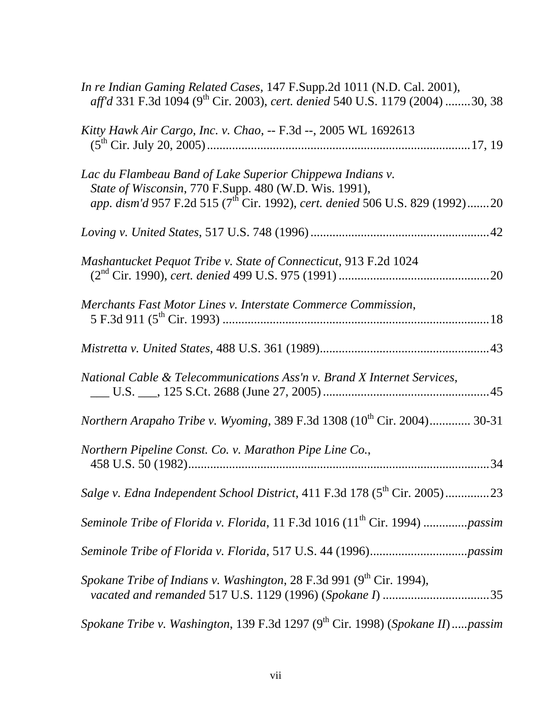| In re Indian Gaming Related Cases, 147 F.Supp.2d 1011 (N.D. Cal. 2001),<br>aff'd 331 F.3d 1094 (9 <sup>th</sup> Cir. 2003), cert. denied 540 U.S. 1179 (2004) 30, 38                                           |
|----------------------------------------------------------------------------------------------------------------------------------------------------------------------------------------------------------------|
| Kitty Hawk Air Cargo, Inc. v. Chao, -- F.3d --, 2005 WL 1692613                                                                                                                                                |
| Lac du Flambeau Band of Lake Superior Chippewa Indians v.<br>State of Wisconsin, 770 F.Supp. 480 (W.D. Wis. 1991),<br>app. dism'd 957 F.2d 515 (7 <sup>th</sup> Cir. 1992), cert. denied 506 U.S. 829 (1992)20 |
|                                                                                                                                                                                                                |
| Mashantucket Pequot Tribe v. State of Connecticut, 913 F.2d 1024                                                                                                                                               |
| Merchants Fast Motor Lines v. Interstate Commerce Commission,                                                                                                                                                  |
|                                                                                                                                                                                                                |
| National Cable & Telecommunications Ass'n v. Brand X Internet Services,                                                                                                                                        |
| <i>Northern Arapaho Tribe v. Wyoming, 389 F.3d 1308 (10<sup>th</sup> Cir. 2004) 30-31</i>                                                                                                                      |
| Northern Pipeline Const. Co. v. Marathon Pipe Line Co.,                                                                                                                                                        |
| Salge v. Edna Independent School District, 411 F.3d 178 (5 <sup>th</sup> Cir. 2005)23                                                                                                                          |
| Seminole Tribe of Florida v. Florida, 11 F.3d 1016 (11 <sup>th</sup> Cir. 1994) passim                                                                                                                         |
|                                                                                                                                                                                                                |
| Spokane Tribe of Indians v. Washington, 28 F.3d 991 (9 <sup>th</sup> Cir. 1994),                                                                                                                               |
| Spokane Tribe v. Washington, 139 F.3d 1297 (9 <sup>th</sup> Cir. 1998) (Spokane II)passim                                                                                                                      |

vii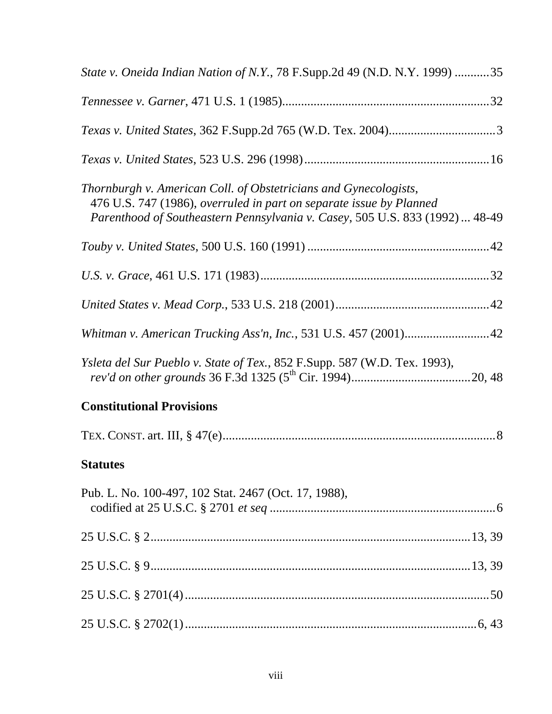| State v. Oneida Indian Nation of N.Y., 78 F.Supp.2d 49 (N.D. N.Y. 1999) 35                                                                                                                                              |
|-------------------------------------------------------------------------------------------------------------------------------------------------------------------------------------------------------------------------|
|                                                                                                                                                                                                                         |
|                                                                                                                                                                                                                         |
|                                                                                                                                                                                                                         |
| Thornburgh v. American Coll. of Obstetricians and Gynecologists,<br>476 U.S. 747 (1986), overruled in part on separate issue by Planned<br>Parenthood of Southeastern Pennsylvania v. Casey, 505 U.S. 833 (1992)  48-49 |
|                                                                                                                                                                                                                         |
|                                                                                                                                                                                                                         |
|                                                                                                                                                                                                                         |
| Whitman v. American Trucking Ass'n, Inc., 531 U.S. 457 (2001)42                                                                                                                                                         |
| <i>Ysleta del Sur Pueblo v. State of Tex.</i> , 852 F.Supp. 587 (W.D. Tex. 1993),                                                                                                                                       |
| <b>Constitutional Provisions</b>                                                                                                                                                                                        |
|                                                                                                                                                                                                                         |
| <b>Statutes</b>                                                                                                                                                                                                         |
| Pub. L. No. 100-497, 102 Stat. 2467 (Oct. 17, 1988),                                                                                                                                                                    |
|                                                                                                                                                                                                                         |
|                                                                                                                                                                                                                         |
|                                                                                                                                                                                                                         |
|                                                                                                                                                                                                                         |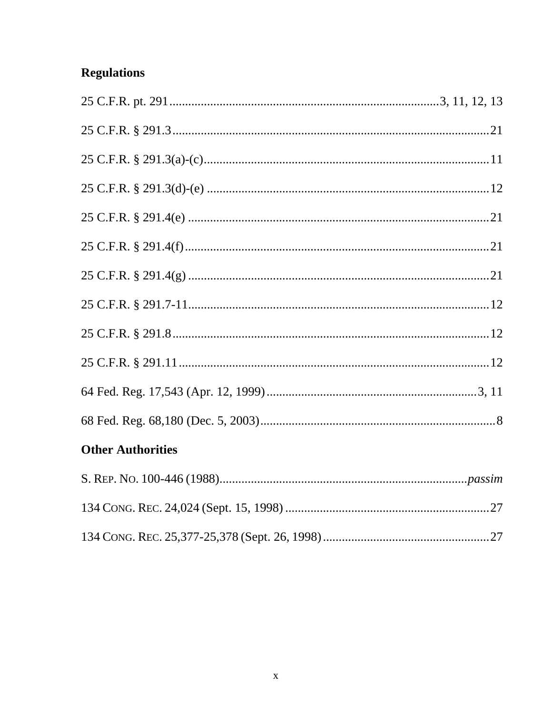# **Regulations**

# **Other Authorities**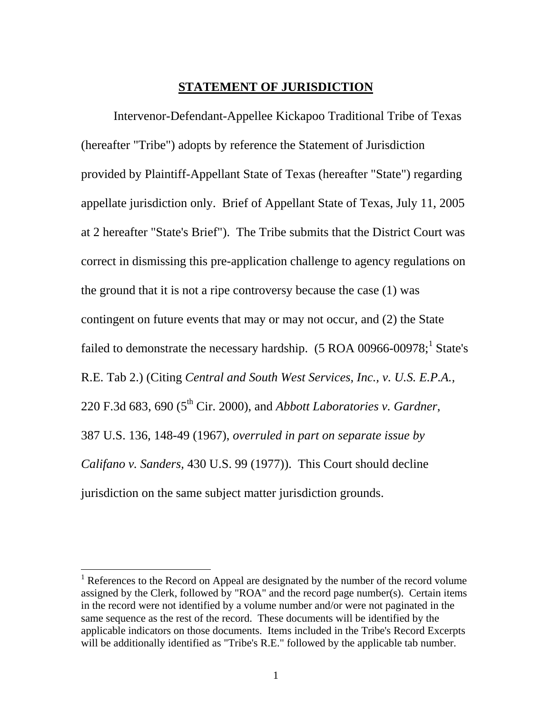#### **STATEMENT OF JURISDICTION**

 Intervenor-Defendant-Appellee Kickapoo Traditional Tribe of Texas (hereafter "Tribe") adopts by reference the Statement of Jurisdiction provided by Plaintiff-Appellant State of Texas (hereafter "State") regarding appellate jurisdiction only. Brief of Appellant State of Texas, July 11, 2005 at 2 hereafter "State's Brief"). The Tribe submits that the District Court was correct in dismissing this pre-application challenge to agency regulations on the ground that it is not a ripe controversy because the case (1) was contingent on future events that may or may not occur, and (2) the State failed to demonstrate the necessary hardship.  $(5 \text{ ROA } 00966\text{-}00978; ^1 \text{ State's})$  $(5 \text{ ROA } 00966\text{-}00978; ^1 \text{ State's})$  $(5 \text{ ROA } 00966\text{-}00978; ^1 \text{ State's})$ R.E. Tab 2.) (Citing *Central and South West Services, Inc., v. U.S. E.P.A.,* 220 F.3d 683, 690 (5th Cir. 2000), and *Abbott Laboratories v. Gardner*, 387 U.S. 136, 148-49 (1967), *overruled in part on separate issue by Califano v. Sanders,* 430 U.S. 99 (1977)). This Court should decline jurisdiction on the same subject matter jurisdiction grounds.

<span id="page-11-0"></span><sup>&</sup>lt;sup>1</sup> References to the Record on Appeal are designated by the number of the record volume assigned by the Clerk, followed by "ROA" and the record page number(s). Certain items in the record were not identified by a volume number and/or were not paginated in the same sequence as the rest of the record. These documents will be identified by the applicable indicators on those documents. Items included in the Tribe's Record Excerpts will be additionally identified as "Tribe's R.E." followed by the applicable tab number.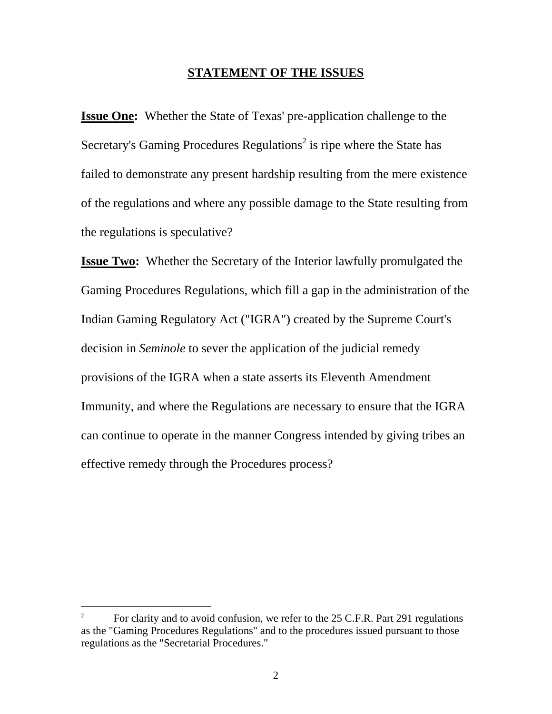### **STATEMENT OF THE ISSUES**

**Issue One:** Whether the State of Texas' pre-application challenge to the Secretary's Gaming Procedures Regulations<sup>[2](#page-12-0)</sup> is ripe where the State has failed to demonstrate any present hardship resulting from the mere existence of the regulations and where any possible damage to the State resulting from the regulations is speculative?

**Issue Two:** Whether the Secretary of the Interior lawfully promulgated the Gaming Procedures Regulations, which fill a gap in the administration of the Indian Gaming Regulatory Act ("IGRA") created by the Supreme Court's decision in *Seminole* to sever the application of the judicial remedy provisions of the IGRA when a state asserts its Eleventh Amendment Immunity, and where the Regulations are necessary to ensure that the IGRA can continue to operate in the manner Congress intended by giving tribes an effective remedy through the Procedures process?

 $\overline{a}$ 

<span id="page-12-0"></span><sup>2</sup> For clarity and to avoid confusion, we refer to the 25 C.F.R. Part 291 regulations as the "Gaming Procedures Regulations" and to the procedures issued pursuant to those regulations as the "Secretarial Procedures."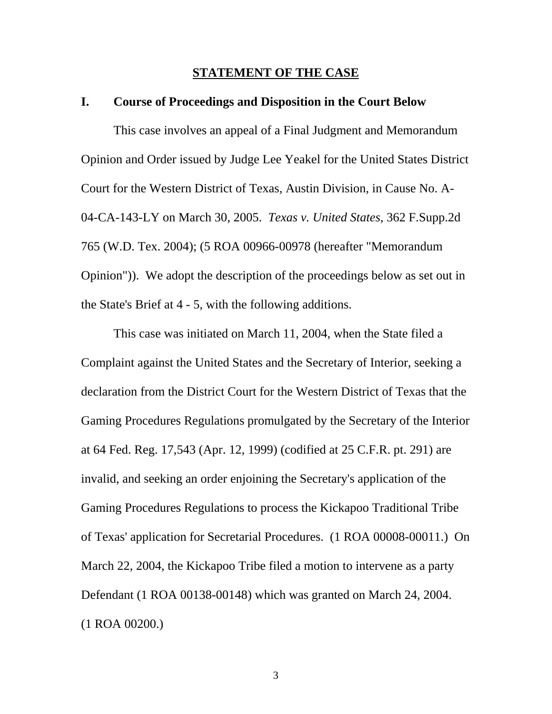#### **STATEMENT OF THE CASE**

#### **I. Course of Proceedings and Disposition in the Court Below**

This case involves an appeal of a Final Judgment and Memorandum Opinion and Order issued by Judge Lee Yeakel for the United States District Court for the Western District of Texas, Austin Division, in Cause No. A-04-CA-143-LY on March 30, 2005. *Texas v. United States*, 362 F.Supp.2d 765 (W.D. Tex. 2004); (5 ROA 00966-00978 (hereafter "Memorandum Opinion")). We adopt the description of the proceedings below as set out in the State's Brief at 4 - 5, with the following additions.

This case was initiated on March 11, 2004, when the State filed a Complaint against the United States and the Secretary of Interior, seeking a declaration from the District Court for the Western District of Texas that the Gaming Procedures Regulations promulgated by the Secretary of the Interior at 64 Fed. Reg. 17,543 (Apr. 12, 1999) (codified at 25 C.F.R. pt. 291) are invalid, and seeking an order enjoining the Secretary's application of the Gaming Procedures Regulations to process the Kickapoo Traditional Tribe of Texas' application for Secretarial Procedures. (1 ROA 00008-00011.) On March 22, 2004, the Kickapoo Tribe filed a motion to intervene as a party Defendant (1 ROA 00138-00148) which was granted on March 24, 2004. (1 ROA 00200.)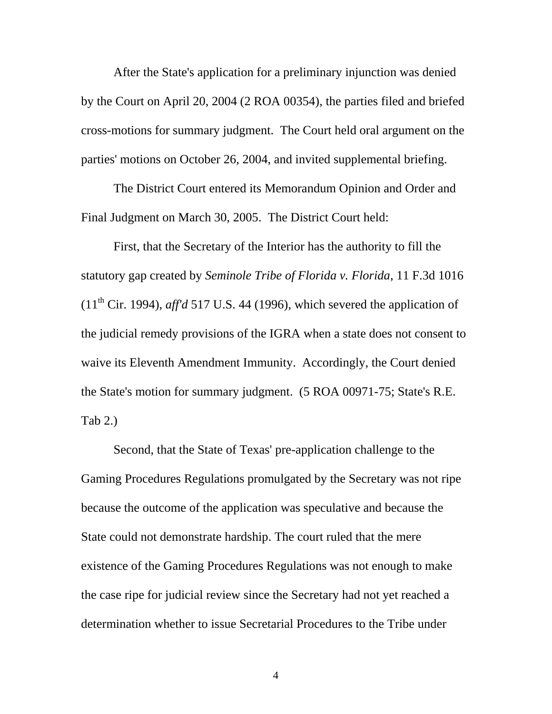After the State's application for a preliminary injunction was denied by the Court on April 20, 2004 (2 ROA 00354), the parties filed and briefed cross-motions for summary judgment. The Court held oral argument on the parties' motions on October 26, 2004, and invited supplemental briefing.

The District Court entered its Memorandum Opinion and Order and Final Judgment on March 30, 2005. The District Court held:

First, that the Secretary of the Interior has the authority to fill the statutory gap created by *Seminole Tribe of Florida v. Florida*, 11 F.3d 1016  $(11<sup>th</sup> Cir. 1994)$ , *aff'd* 517 U.S. 44 (1996), which severed the application of the judicial remedy provisions of the IGRA when a state does not consent to waive its Eleventh Amendment Immunity. Accordingly, the Court denied the State's motion for summary judgment. (5 ROA 00971-75; State's R.E. Tab 2.)

Second, that the State of Texas' pre-application challenge to the Gaming Procedures Regulations promulgated by the Secretary was not ripe because the outcome of the application was speculative and because the State could not demonstrate hardship. The court ruled that the mere existence of the Gaming Procedures Regulations was not enough to make the case ripe for judicial review since the Secretary had not yet reached a determination whether to issue Secretarial Procedures to the Tribe under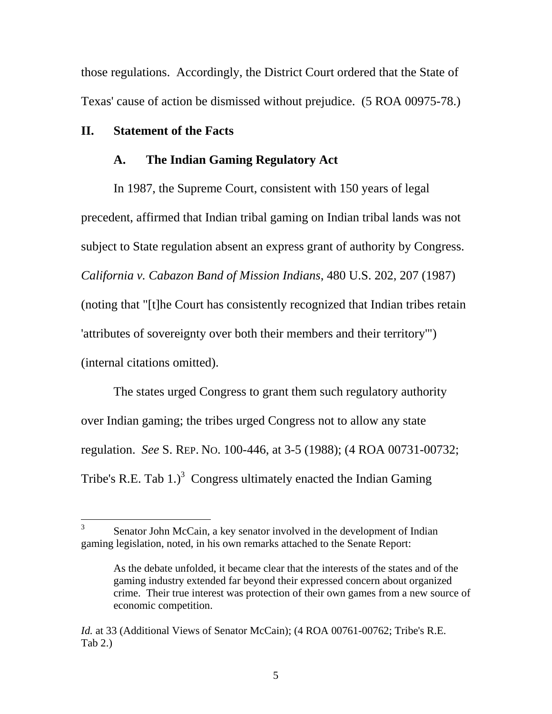those regulations. Accordingly, the District Court ordered that the State of Texas' cause of action be dismissed without prejudice. (5 ROA 00975-78.)

#### **II. Statement of the Facts**

#### **A. The Indian Gaming Regulatory Act**

In 1987, the Supreme Court, consistent with 150 years of legal precedent, affirmed that Indian tribal gaming on Indian tribal lands was not subject to State regulation absent an express grant of authority by Congress. *California v. Cabazon Band of Mission Indians*, 480 U.S. 202, 207 (1987) (noting that "[t]he Court has consistently recognized that Indian tribes retain 'attributes of sovereignty over both their members and their territory'") (internal citations omitted).

The states urged Congress to grant them such regulatory authority over Indian gaming; the tribes urged Congress not to allow any state regulation. *See* S. REP. NO. 100-446, at 3-5 (1988); (4 ROA 00731-00732; Tribe's R.E. Tab  $1$ .)<sup>[3](#page-15-0)</sup> Congress ultimately enacted the Indian Gaming

<span id="page-15-0"></span> $\frac{1}{3}$  Senator John McCain, a key senator involved in the development of Indian gaming legislation, noted, in his own remarks attached to the Senate Report:

As the debate unfolded, it became clear that the interests of the states and of the gaming industry extended far beyond their expressed concern about organized crime. Their true interest was protection of their own games from a new source of economic competition.

*Id.* at 33 (Additional Views of Senator McCain); (4 ROA 00761-00762; Tribe's R.E. Tab 2.)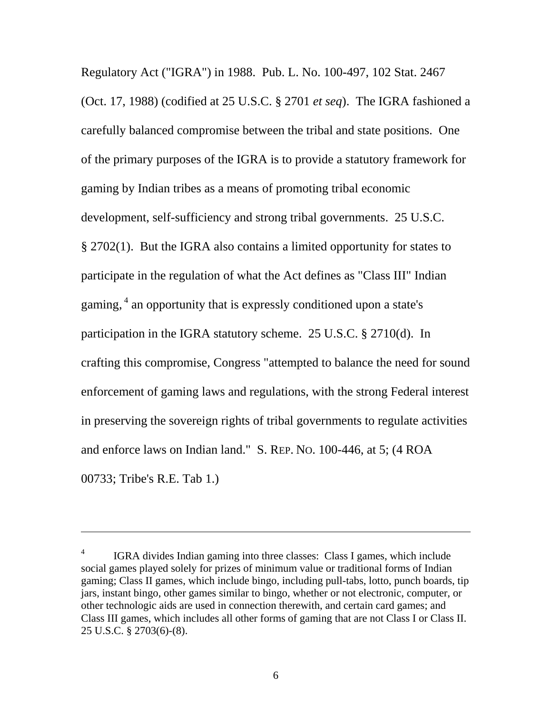Regulatory Act ("IGRA") in 1988. Pub. L. No. 100-497, 102 Stat. 2467 (Oct. 17, 1988) (codified at 25 U.S.C. § 2701 *et seq*). The IGRA fashioned a carefully balanced compromise between the tribal and state positions. One of the primary purposes of the IGRA is to provide a statutory framework for gaming by Indian tribes as a means of promoting tribal economic development, self-sufficiency and strong tribal governments. 25 U.S.C. § 2702(1). But the IGRA also contains a limited opportunity for states to participate in the regulation of what the Act defines as "Class III" Indian gaming, <sup>4</sup> an opportunity that is expressly conditioned upon a state's participation in the IGRA statutory scheme. 25 U.S.C. § 2710(d). In crafting this compromise, Congress "attempted to balance the need for sound enforcement of gaming laws and regulations, with the strong Federal interest in preserving the sovereign rights of tribal governments to regulate activities and enforce laws on Indian land." S. REP. NO. 100-446, at 5; (4 ROA 00733; Tribe's R.E. Tab 1.)

 $\overline{a}$ 

<span id="page-16-0"></span><sup>4</sup> IGRA divides Indian gaming into three classes: Class I games, which include social games played solely for prizes of minimum value or traditional forms of Indian gaming; Class II games, which include bingo, including pull-tabs, lotto, punch boards, tip jars, instant bingo, other games similar to bingo, whether or not electronic, computer, or other technologic aids are used in connection therewith, and certain card games; and Class III games, which includes all other forms of gaming that are not Class I or Class II. 25 U.S.C. § 2703(6)-(8).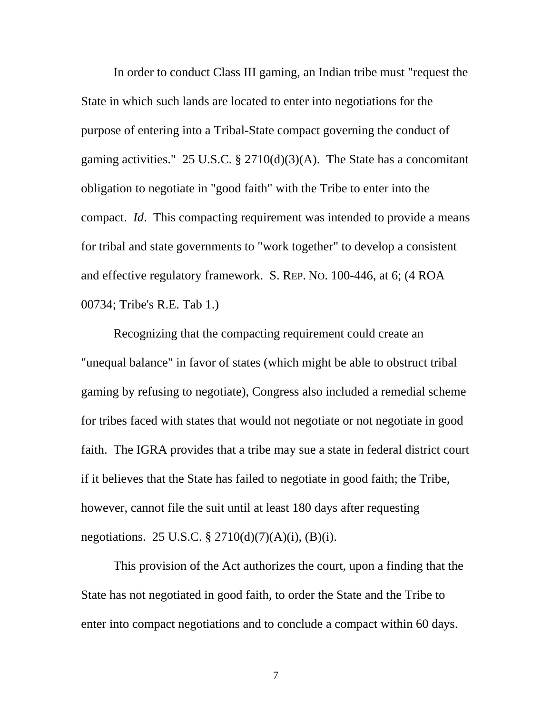In order to conduct Class III gaming, an Indian tribe must "request the State in which such lands are located to enter into negotiations for the purpose of entering into a Tribal-State compact governing the conduct of gaming activities." 25 U.S.C. § 2710(d)(3)(A). The State has a concomitant obligation to negotiate in "good faith" with the Tribe to enter into the compact. *Id*. This compacting requirement was intended to provide a means for tribal and state governments to "work together" to develop a consistent and effective regulatory framework. S. REP. NO. 100-446, at 6; (4 ROA 00734; Tribe's R.E. Tab 1.)

Recognizing that the compacting requirement could create an "unequal balance" in favor of states (which might be able to obstruct tribal gaming by refusing to negotiate), Congress also included a remedial scheme for tribes faced with states that would not negotiate or not negotiate in good faith. The IGRA provides that a tribe may sue a state in federal district court if it believes that the State has failed to negotiate in good faith; the Tribe, however, cannot file the suit until at least 180 days after requesting negotiations. 25 U.S.C. § 2710(d)(7)(A)(i), (B)(i).

This provision of the Act authorizes the court, upon a finding that the State has not negotiated in good faith, to order the State and the Tribe to enter into compact negotiations and to conclude a compact within 60 days.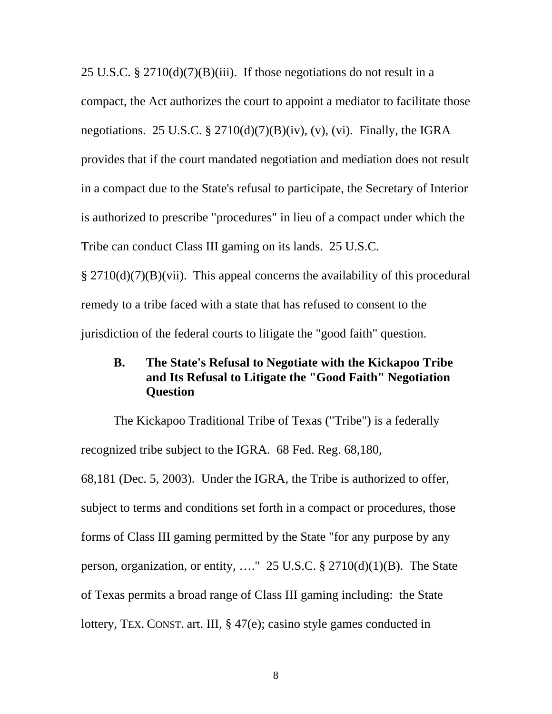25 U.S.C. § 2710(d)(7)(B)(iii). If those negotiations do not result in a compact, the Act authorizes the court to appoint a mediator to facilitate those negotiations. 25 U.S.C. § 2710(d)(7)(B)(iv), (v), (vi). Finally, the IGRA provides that if the court mandated negotiation and mediation does not result in a compact due to the State's refusal to participate, the Secretary of Interior is authorized to prescribe "procedures" in lieu of a compact under which the Tribe can conduct Class III gaming on its lands. 25 U.S.C. § 2710(d)(7)(B)(vii). This appeal concerns the availability of this procedural remedy to a tribe faced with a state that has refused to consent to the jurisdiction of the federal courts to litigate the "good faith" question.

## **B. The State's Refusal to Negotiate with the Kickapoo Tribe and Its Refusal to Litigate the "Good Faith" Negotiation Question**

The Kickapoo Traditional Tribe of Texas ("Tribe") is a federally recognized tribe subject to the IGRA. 68 Fed. Reg. 68,180, 68,181 (Dec. 5, 2003). Under the IGRA, the Tribe is authorized to offer, subject to terms and conditions set forth in a compact or procedures, those forms of Class III gaming permitted by the State "for any purpose by any person, organization, or entity, …." 25 U.S.C. § 2710(d)(1)(B). The State of Texas permits a broad range of Class III gaming including: the State lottery, TEX. CONST. art. III, § 47(e); casino style games conducted in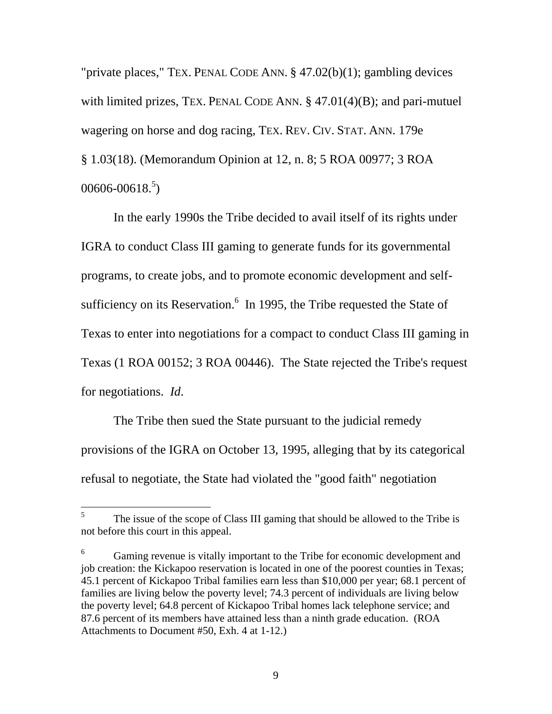"private places," TEX. PENAL CODE ANN. § 47.02(b)(1); gambling devices with limited prizes, TEX. PENAL CODE ANN. § 47.01(4)(B); and pari-mutuel wagering on horse and dog racing, TEX. REV. CIV. STAT. ANN. 179e § 1.03(18). (Memorandum Opinion at 12, n. 8; 5 ROA 00977; 3 ROA  $00606 - 00618.<sup>5</sup>$ 

In the early 1990s the Tribe decided to avail itself of its rights under IGRA to conduct Class III gaming to generate funds for its governmental programs, to create jobs, and to promote economic development and selfsufficiency on its Reservation. $6\,$  In 1995, the Tribe requested the State of Texas to enter into negotiations for a compact to conduct Class III gaming in Texas (1 ROA 00152; 3 ROA 00446). The State rejected the Tribe's request for negotiations. *Id*.

The Tribe then sued the State pursuant to the judicial remedy provisions of the IGRA on October 13, 1995, alleging that by its categorical refusal to negotiate, the State had violated the "good faith" negotiation

<span id="page-19-0"></span> 5 The issue of the scope of Class III gaming that should be allowed to the Tribe is not before this court in this appeal.

<span id="page-19-1"></span><sup>&</sup>lt;sup>6</sup> Gaming revenue is vitally important to the Tribe for economic development and job creation: the Kickapoo reservation is located in one of the poorest counties in Texas; 45.1 percent of Kickapoo Tribal families earn less than \$10,000 per year; 68.1 percent of families are living below the poverty level; 74.3 percent of individuals are living below the poverty level; 64.8 percent of Kickapoo Tribal homes lack telephone service; and 87.6 percent of its members have attained less than a ninth grade education. (ROA Attachments to Document #50, Exh. 4 at 1-12.)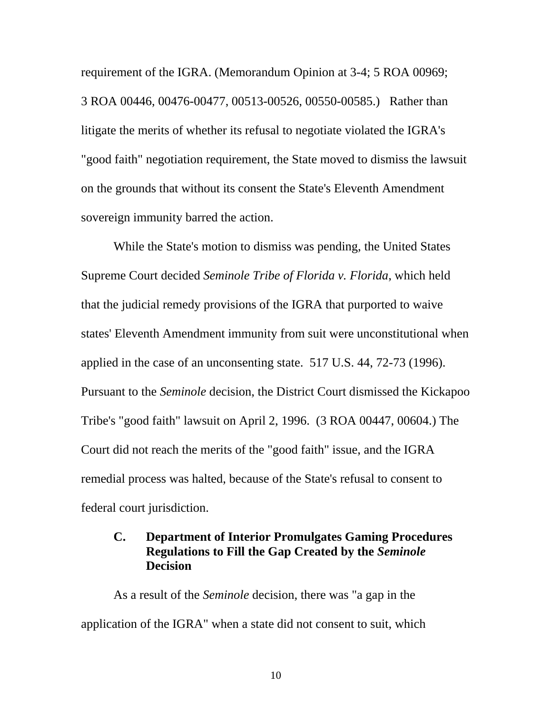requirement of the IGRA. (Memorandum Opinion at 3-4; 5 ROA 00969; 3 ROA 00446, 00476-00477, 00513-00526, 00550-00585.) Rather than litigate the merits of whether its refusal to negotiate violated the IGRA's "good faith" negotiation requirement, the State moved to dismiss the lawsuit on the grounds that without its consent the State's Eleventh Amendment sovereign immunity barred the action.

While the State's motion to dismiss was pending, the United States Supreme Court decided *Seminole Tribe of Florida v. Florida*, which held that the judicial remedy provisions of the IGRA that purported to waive states' Eleventh Amendment immunity from suit were unconstitutional when applied in the case of an unconsenting state. 517 U.S. 44, 72-73 (1996). Pursuant to the *Seminole* decision, the District Court dismissed the Kickapoo Tribe's "good faith" lawsuit on April 2, 1996. (3 ROA 00447, 00604.) The Court did not reach the merits of the "good faith" issue, and the IGRA remedial process was halted, because of the State's refusal to consent to federal court jurisdiction.

## **C. Department of Interior Promulgates Gaming Procedures Regulations to Fill the Gap Created by the** *Seminole*  **Decision**

As a result of the *Seminole* decision, there was "a gap in the application of the IGRA" when a state did not consent to suit, which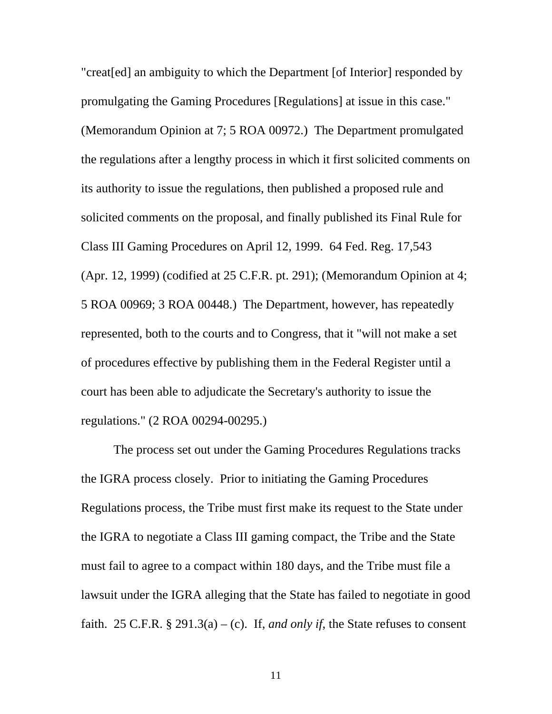"creat[ed] an ambiguity to which the Department [of Interior] responded by promulgating the Gaming Procedures [Regulations] at issue in this case." (Memorandum Opinion at 7; 5 ROA 00972.) The Department promulgated the regulations after a lengthy process in which it first solicited comments on its authority to issue the regulations, then published a proposed rule and solicited comments on the proposal, and finally published its Final Rule for Class III Gaming Procedures on April 12, 1999. 64 Fed. Reg. 17,543 (Apr. 12, 1999) (codified at 25 C.F.R. pt. 291); (Memorandum Opinion at 4; 5 ROA 00969; 3 ROA 00448.) The Department, however, has repeatedly represented, both to the courts and to Congress, that it "will not make a set of procedures effective by publishing them in the Federal Register until a court has been able to adjudicate the Secretary's authority to issue the regulations." (2 ROA 00294-00295.)

The process set out under the Gaming Procedures Regulations tracks the IGRA process closely. Prior to initiating the Gaming Procedures Regulations process, the Tribe must first make its request to the State under the IGRA to negotiate a Class III gaming compact, the Tribe and the State must fail to agree to a compact within 180 days, and the Tribe must file a lawsuit under the IGRA alleging that the State has failed to negotiate in good faith. 25 C.F.R.  $\S 291.3(a) - (c)$ . If, *and only if*, the State refuses to consent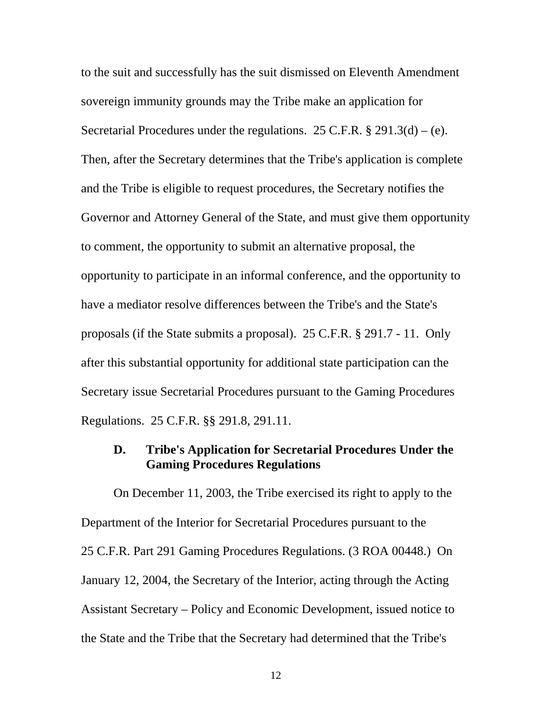to the suit and successfully has the suit dismissed on Eleventh Amendment sovereign immunity grounds may the Tribe make an application for Secretarial Procedures under the regulations. 25 C.F.R.  $\S 291.3(d) - (e)$ . Then, after the Secretary determines that the Tribe's application is complete and the Tribe is eligible to request procedures, the Secretary notifies the Governor and Attorney General of the State, and must give them opportunity to comment, the opportunity to submit an alternative proposal, the opportunity to participate in an informal conference, and the opportunity to have a mediator resolve differences between the Tribe's and the State's proposals (if the State submits a proposal). 25 C.F.R. § 291.7 - 11. Only after this substantial opportunity for additional state participation can the Secretary issue Secretarial Procedures pursuant to the Gaming Procedures Regulations. 25 C.F.R. §§ 291.8, 291.11.

#### **D. Tribe's Application for Secretarial Procedures Under the Gaming Procedures Regulations**

On December 11, 2003, the Tribe exercised its right to apply to the Department of the Interior for Secretarial Procedures pursuant to the 25 C.F.R. Part 291 Gaming Procedures Regulations. (3 ROA 00448.) On January 12, 2004, the Secretary of the Interior, acting through the Acting Assistant Secretary – Policy and Economic Development, issued notice to the State and the Tribe that the Secretary had determined that the Tribe's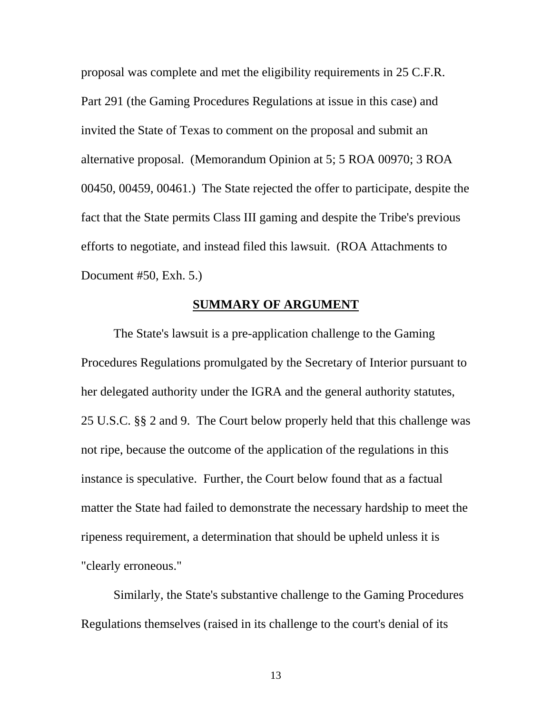proposal was complete and met the eligibility requirements in 25 C.F.R. Part 291 (the Gaming Procedures Regulations at issue in this case) and invited the State of Texas to comment on the proposal and submit an alternative proposal. (Memorandum Opinion at 5; 5 ROA 00970; 3 ROA 00450, 00459, 00461.) The State rejected the offer to participate, despite the fact that the State permits Class III gaming and despite the Tribe's previous efforts to negotiate, and instead filed this lawsuit. (ROA Attachments to Document #50, Exh. 5.)

#### **SUMMARY OF ARGUMENT**

The State's lawsuit is a pre-application challenge to the Gaming Procedures Regulations promulgated by the Secretary of Interior pursuant to her delegated authority under the IGRA and the general authority statutes, 25 U.S.C. §§ 2 and 9. The Court below properly held that this challenge was not ripe, because the outcome of the application of the regulations in this instance is speculative. Further, the Court below found that as a factual matter the State had failed to demonstrate the necessary hardship to meet the ripeness requirement, a determination that should be upheld unless it is "clearly erroneous."

Similarly, the State's substantive challenge to the Gaming Procedures Regulations themselves (raised in its challenge to the court's denial of its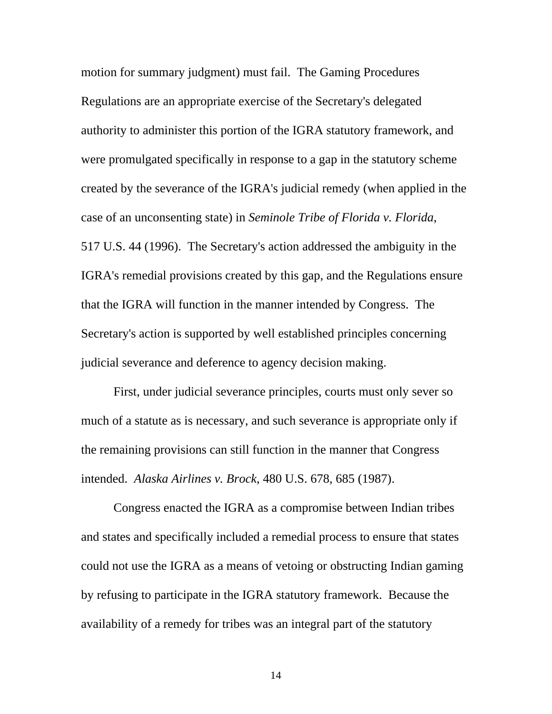motion for summary judgment) must fail. The Gaming Procedures Regulations are an appropriate exercise of the Secretary's delegated authority to administer this portion of the IGRA statutory framework, and were promulgated specifically in response to a gap in the statutory scheme created by the severance of the IGRA's judicial remedy (when applied in the case of an unconsenting state) in *Seminole Tribe of Florida v. Florida*, 517 U.S. 44 (1996). The Secretary's action addressed the ambiguity in the IGRA's remedial provisions created by this gap, and the Regulations ensure that the IGRA will function in the manner intended by Congress. The Secretary's action is supported by well established principles concerning judicial severance and deference to agency decision making.

First, under judicial severance principles, courts must only sever so much of a statute as is necessary, and such severance is appropriate only if the remaining provisions can still function in the manner that Congress intended. *Alaska Airlines v. Brock*, 480 U.S. 678, 685 (1987).

Congress enacted the IGRA as a compromise between Indian tribes and states and specifically included a remedial process to ensure that states could not use the IGRA as a means of vetoing or obstructing Indian gaming by refusing to participate in the IGRA statutory framework. Because the availability of a remedy for tribes was an integral part of the statutory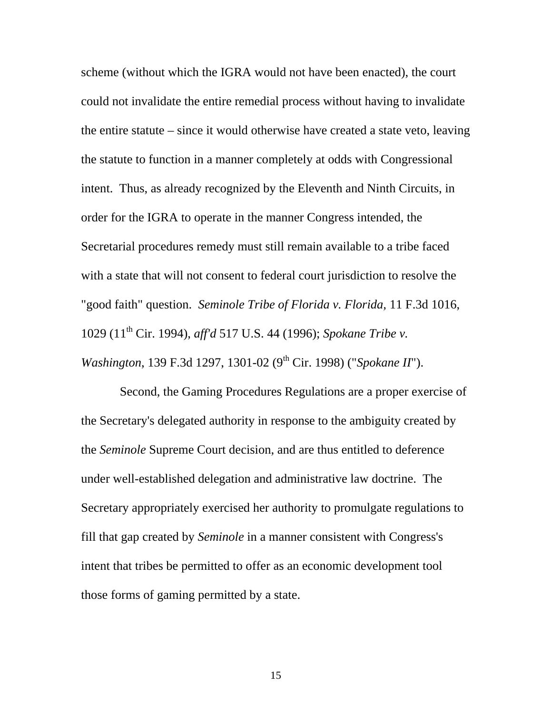scheme (without which the IGRA would not have been enacted), the court could not invalidate the entire remedial process without having to invalidate the entire statute – since it would otherwise have created a state veto, leaving the statute to function in a manner completely at odds with Congressional intent. Thus, as already recognized by the Eleventh and Ninth Circuits, in order for the IGRA to operate in the manner Congress intended, the Secretarial procedures remedy must still remain available to a tribe faced with a state that will not consent to federal court jurisdiction to resolve the "good faith" question. *Seminole Tribe of Florida v. Florida,* 11 F.3d 1016, 1029 (11th Cir. 1994), *aff'd* 517 U.S. 44 (1996); *Spokane Tribe v. Washington*, 139 F.3d 1297, 1301-02 (9<sup>th</sup> Cir. 1998) ("*Spokane II*").

 Second, the Gaming Procedures Regulations are a proper exercise of the Secretary's delegated authority in response to the ambiguity created by the *Seminole* Supreme Court decision, and are thus entitled to deference under well-established delegation and administrative law doctrine. The Secretary appropriately exercised her authority to promulgate regulations to fill that gap created by *Seminole* in a manner consistent with Congress's intent that tribes be permitted to offer as an economic development tool those forms of gaming permitted by a state.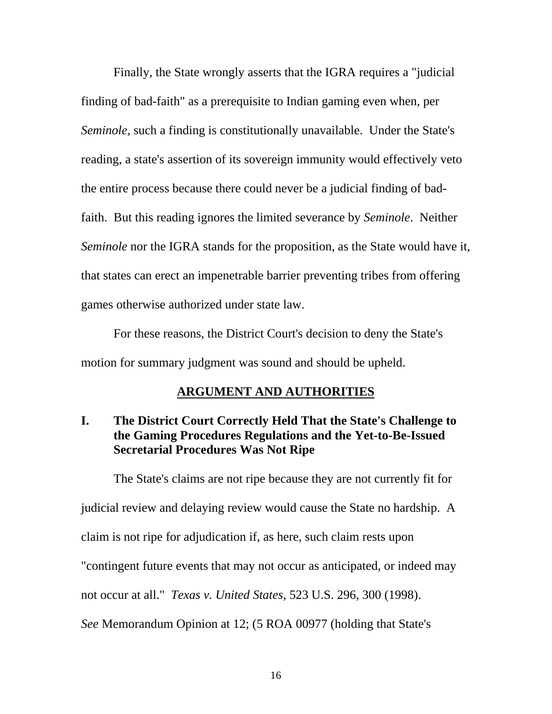Finally, the State wrongly asserts that the IGRA requires a "judicial finding of bad-faith" as a prerequisite to Indian gaming even when, per *Seminole,* such a finding is constitutionally unavailable. Under the State's reading, a state's assertion of its sovereign immunity would effectively veto the entire process because there could never be a judicial finding of badfaith. But this reading ignores the limited severance by *Seminole*. Neither *Seminole* nor the IGRA stands for the proposition, as the State would have it, that states can erect an impenetrable barrier preventing tribes from offering games otherwise authorized under state law.

For these reasons, the District Court's decision to deny the State's motion for summary judgment was sound and should be upheld.

### **ARGUMENT AND AUTHORITIES**

### **I. The District Court Correctly Held That the State's Challenge to the Gaming Procedures Regulations and the Yet-to-Be-Issued Secretarial Procedures Was Not Ripe**

The State's claims are not ripe because they are not currently fit for judicial review and delaying review would cause the State no hardship. A claim is not ripe for adjudication if, as here, such claim rests upon "contingent future events that may not occur as anticipated, or indeed may not occur at all." *Texas v. United States*, 523 U.S. 296, 300 (1998). *See* Memorandum Opinion at 12; (5 ROA 00977 (holding that State's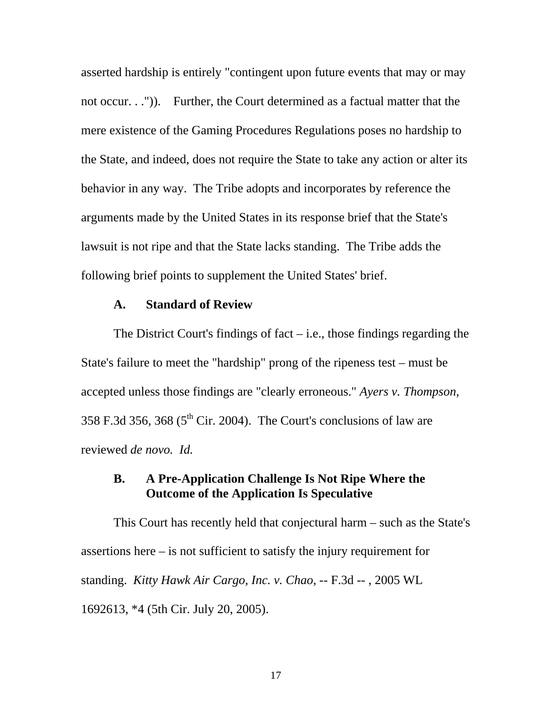asserted hardship is entirely "contingent upon future events that may or may not occur. . .")). Further, the Court determined as a factual matter that the mere existence of the Gaming Procedures Regulations poses no hardship to the State, and indeed, does not require the State to take any action or alter its behavior in any way. The Tribe adopts and incorporates by reference the arguments made by the United States in its response brief that the State's lawsuit is not ripe and that the State lacks standing. The Tribe adds the following brief points to supplement the United States' brief.

#### **A. Standard of Review**

The District Court's findings of fact  $-$  i.e., those findings regarding the State's failure to meet the "hardship" prong of the ripeness test – must be accepted unless those findings are "clearly erroneous." *Ayers v. Thompson*, 358 F.3d 356, 368 ( $5<sup>th</sup>$  Cir. 2004). The Court's conclusions of law are reviewed *de novo. Id.*

#### **B. A Pre-Application Challenge Is Not Ripe Where the Outcome of the Application Is Speculative**

This Court has recently held that conjectural harm – such as the State's assertions here – is not sufficient to satisfy the injury requirement for standing. *Kitty Hawk Air Cargo, Inc. v. Chao,* -- F.3d -- , 2005 WL 1692613, \*4 (5th Cir. July 20, 2005).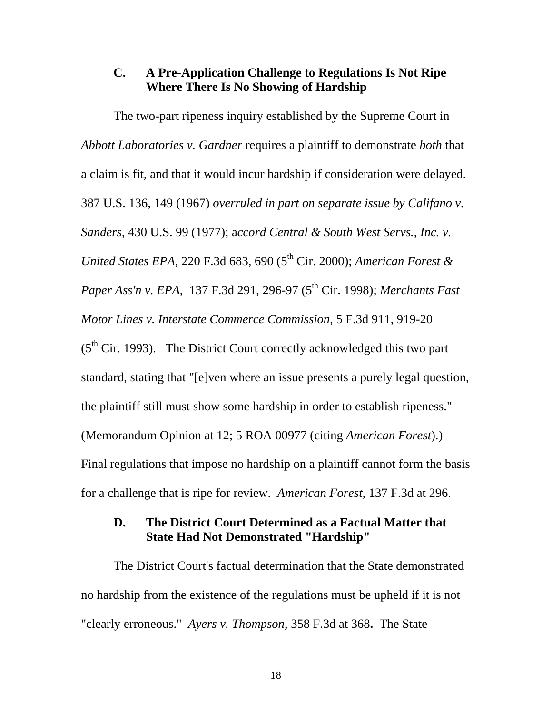#### **C. A Pre-Application Challenge to Regulations Is Not Ripe Where There Is No Showing of Hardship**

The two-part ripeness inquiry established by the Supreme Court in *Abbott Laboratories v. Gardner* requires a plaintiff to demonstrate *both* that a claim is fit, and that it would incur hardship if consideration were delayed. 387 U.S. 136, 149 (1967) *overruled in part on separate issue by Califano v. Sanders*, 430 U.S. 99 (1977); a*ccord Central & South West Servs., Inc. v. United States EPA, 220 F.3d 683, 690 (5<sup>th</sup> Cir. 2000); <i>American Forest & Paper Ass'n v. EPA,* 137 F.3d 291, 296-97 (5<sup>th</sup> Cir. 1998); *Merchants Fast Motor Lines v. Interstate Commerce Commission*, 5 F.3d 911, 919-20  $(5<sup>th</sup> Cir. 1993)$ . The District Court correctly acknowledged this two part standard, stating that "[e]ven where an issue presents a purely legal question, the plaintiff still must show some hardship in order to establish ripeness." (Memorandum Opinion at 12; 5 ROA 00977 (citing *American Forest*).) Final regulations that impose no hardship on a plaintiff cannot form the basis for a challenge that is ripe for review. *American Forest,* 137 F.3d at 296.

#### **D. The District Court Determined as a Factual Matter that State Had Not Demonstrated "Hardship"**

The District Court's factual determination that the State demonstrated no hardship from the existence of the regulations must be upheld if it is not "clearly erroneous." *Ayers v. Thompson*, 358 F.3d at 368**.** The State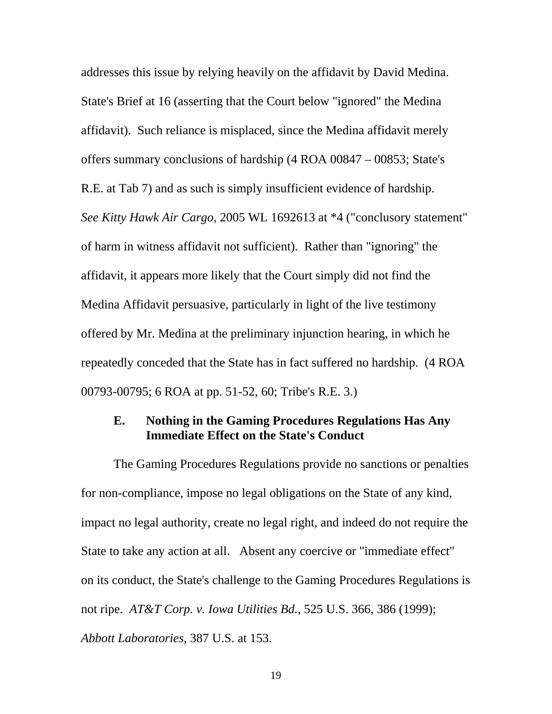addresses this issue by relying heavily on the affidavit by David Medina. State's Brief at 16 (asserting that the Court below "ignored" the Medina affidavit). Such reliance is misplaced, since the Medina affidavit merely offers summary conclusions of hardship (4 ROA 00847 – 00853; State's R.E. at Tab 7) and as such is simply insufficient evidence of hardship. *See Kitty Hawk Air Cargo*, 2005 WL 1692613 at \*4 ("conclusory statement" of harm in witness affidavit not sufficient). Rather than "ignoring" the affidavit, it appears more likely that the Court simply did not find the Medina Affidavit persuasive, particularly in light of the live testimony offered by Mr. Medina at the preliminary injunction hearing, in which he repeatedly conceded that the State has in fact suffered no hardship. (4 ROA 00793-00795; 6 ROA at pp. 51-52, 60; Tribe's R.E. 3.)

#### **E. Nothing in the Gaming Procedures Regulations Has Any Immediate Effect on the State's Conduct**

The Gaming Procedures Regulations provide no sanctions or penalties for non-compliance, impose no legal obligations on the State of any kind, impact no legal authority, create no legal right, and indeed do not require the State to take any action at all. Absent any coercive or "immediate effect" on its conduct, the State's challenge to the Gaming Procedures Regulations is not ripe. *AT&T Corp. v. Iowa Utilities Bd.*, 525 U.S. 366, 386 (1999);

*Abbott Laboratories*, 387 U.S. at 153.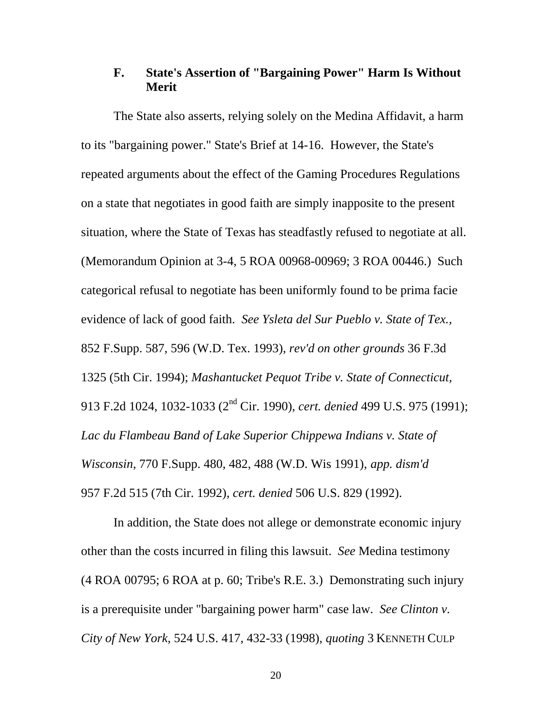## **F. State's Assertion of "Bargaining Power" Harm Is Without Merit**

The State also asserts, relying solely on the Medina Affidavit, a harm to its "bargaining power." State's Brief at 14-16. However, the State's repeated arguments about the effect of the Gaming Procedures Regulations on a state that negotiates in good faith are simply inapposite to the present situation, where the State of Texas has steadfastly refused to negotiate at all. (Memorandum Opinion at 3-4, 5 ROA 00968-00969; 3 ROA 00446.) Such categorical refusal to negotiate has been uniformly found to be prima facie evidence of lack of good faith. *See Ysleta del Sur Pueblo v. State of Tex.,* 852 F.Supp. 587, 596 (W.D. Tex. 1993), *rev'd on other grounds* 36 F.3d 1325 (5th Cir. 1994); *Mashantucket Pequot Tribe v. State of Connecticut,* 913 F.2d 1024, 1032-1033 (2nd Cir. 1990), *cert. denied* 499 U.S. 975 (1991); *Lac du Flambeau Band of Lake Superior Chippewa Indians v. State of Wisconsin*, 770 F.Supp. 480, 482, 488 (W.D. Wis 1991), *app. dism'd* 957 F.2d 515 (7th Cir. 1992), *cert. denied* 506 U.S. 829 (1992).

In addition, the State does not allege or demonstrate economic injury other than the costs incurred in filing this lawsuit. *See* Medina testimony (4 ROA 00795; 6 ROA at p. 60; Tribe's R.E. 3.) Demonstrating such injury is a prerequisite under "bargaining power harm" case law. *See Clinton v. City of New York*, 524 U.S. 417, 432-33 (1998), *quoting* 3 KENNETH CULP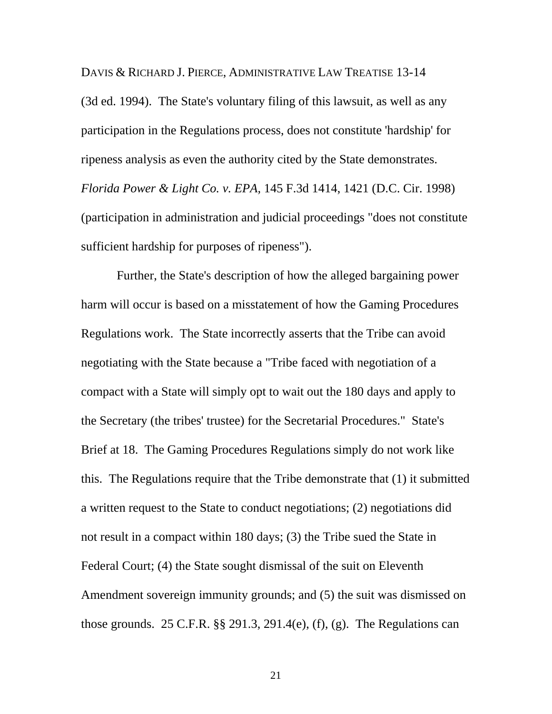DAVIS & RICHARD J. PIERCE, ADMINISTRATIVE LAW TREATISE 13-14

(3d ed. 1994). The State's voluntary filing of this lawsuit, as well as any participation in the Regulations process, does not constitute 'hardship' for ripeness analysis as even the authority cited by the State demonstrates. *Florida Power & Light Co. v. EPA,* 145 F.3d 1414, 1421 (D.C. Cir. 1998) (participation in administration and judicial proceedings "does not constitute sufficient hardship for purposes of ripeness").

 Further, the State's description of how the alleged bargaining power harm will occur is based on a misstatement of how the Gaming Procedures Regulations work. The State incorrectly asserts that the Tribe can avoid negotiating with the State because a "Tribe faced with negotiation of a compact with a State will simply opt to wait out the 180 days and apply to the Secretary (the tribes' trustee) for the Secretarial Procedures." State's Brief at 18. The Gaming Procedures Regulations simply do not work like this. The Regulations require that the Tribe demonstrate that (1) it submitted a written request to the State to conduct negotiations; (2) negotiations did not result in a compact within 180 days; (3) the Tribe sued the State in Federal Court; (4) the State sought dismissal of the suit on Eleventh Amendment sovereign immunity grounds; and (5) the suit was dismissed on those grounds. 25 C.F.R.  $\S$ § 291.3, 291.4(e), (f), (g). The Regulations can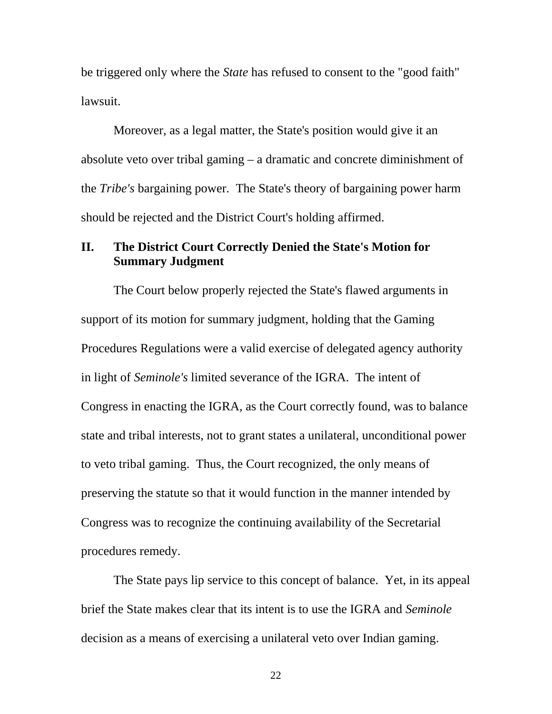be triggered only where the *State* has refused to consent to the "good faith" lawsuit.

Moreover, as a legal matter, the State's position would give it an absolute veto over tribal gaming – a dramatic and concrete diminishment of the *Tribe's* bargaining power. The State's theory of bargaining power harm should be rejected and the District Court's holding affirmed.

## **II. The District Court Correctly Denied the State's Motion for Summary Judgment**

The Court below properly rejected the State's flawed arguments in support of its motion for summary judgment, holding that the Gaming Procedures Regulations were a valid exercise of delegated agency authority in light of *Seminole's* limited severance of the IGRA. The intent of Congress in enacting the IGRA, as the Court correctly found, was to balance state and tribal interests, not to grant states a unilateral, unconditional power to veto tribal gaming. Thus, the Court recognized, the only means of preserving the statute so that it would function in the manner intended by Congress was to recognize the continuing availability of the Secretarial procedures remedy.

The State pays lip service to this concept of balance. Yet, in its appeal brief the State makes clear that its intent is to use the IGRA and *Seminole*  decision as a means of exercising a unilateral veto over Indian gaming.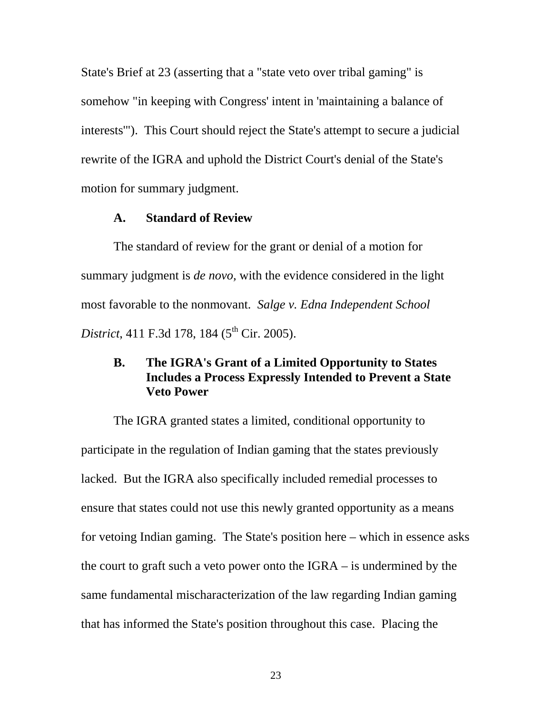State's Brief at 23 (asserting that a "state veto over tribal gaming" is somehow "in keeping with Congress' intent in 'maintaining a balance of interests'").This Court should reject the State's attempt to secure a judicial rewrite of the IGRA and uphold the District Court's denial of the State's motion for summary judgment.

#### **A. Standard of Review**

The standard of review for the grant or denial of a motion for summary judgment is *de novo,* with the evidence considered in the light most favorable to the nonmovant. *Salge v. Edna Independent School District*, 411 F.3d 178, 184 (5<sup>th</sup> Cir. 2005).

## **B. The IGRA's Grant of a Limited Opportunity to States Includes a Process Expressly Intended to Prevent a State Veto Power**

The IGRA granted states a limited, conditional opportunity to participate in the regulation of Indian gaming that the states previously lacked. But the IGRA also specifically included remedial processes to ensure that states could not use this newly granted opportunity as a means for vetoing Indian gaming. The State's position here – which in essence asks the court to graft such a veto power onto the IGRA – is undermined by the same fundamental mischaracterization of the law regarding Indian gaming that has informed the State's position throughout this case. Placing the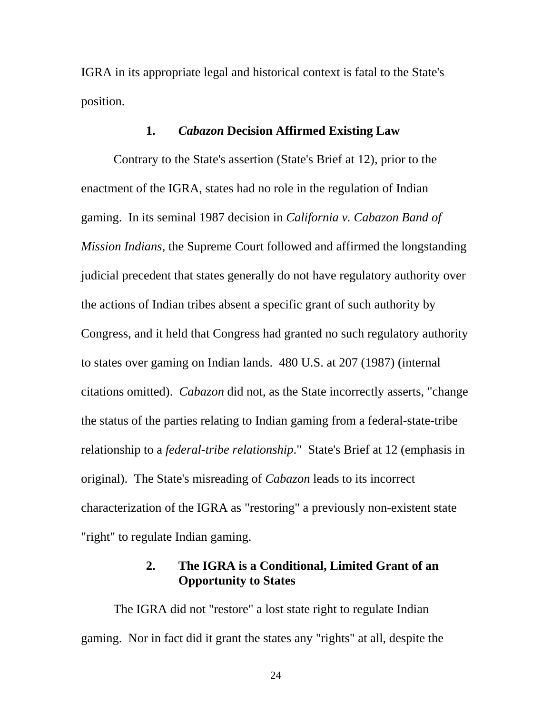IGRA in its appropriate legal and historical context is fatal to the State's position.

#### **1.** *Cabazon* **Decision Affirmed Existing Law**

Contrary to the State's assertion (State's Brief at 12), prior to the enactment of the IGRA, states had no role in the regulation of Indian gaming. In its seminal 1987 decision in *California v. Cabazon Band of Mission Indians*, the Supreme Court followed and affirmed the longstanding judicial precedent that states generally do not have regulatory authority over the actions of Indian tribes absent a specific grant of such authority by Congress, and it held that Congress had granted no such regulatory authority to states over gaming on Indian lands. 480 U.S. at 207 (1987) (internal citations omitted). *Cabazon* did not, as the State incorrectly asserts, "change the status of the parties relating to Indian gaming from a federal-state-tribe relationship to a *federal-tribe relationship*." State's Brief at 12 (emphasis in original). The State's misreading of *Cabazon* leads to its incorrect characterization of the IGRA as "restoring" a previously non-existent state "right" to regulate Indian gaming.

#### **2. The IGRA is a Conditional, Limited Grant of an Opportunity to States**

The IGRA did not "restore" a lost state right to regulate Indian gaming. Nor in fact did it grant the states any "rights" at all, despite the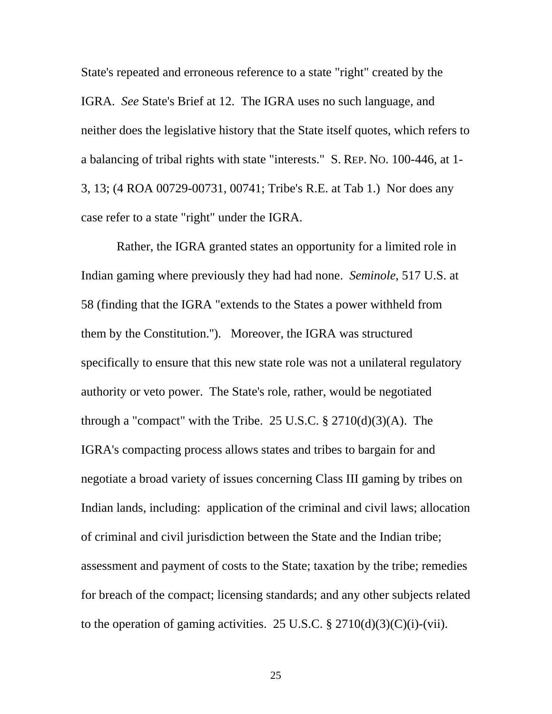State's repeated and erroneous reference to a state "right" created by the IGRA. *See* State's Brief at 12. The IGRA uses no such language, and neither does the legislative history that the State itself quotes, which refers to a balancing of tribal rights with state "interests." S. REP. NO. 100-446, at 1- 3, 13; (4 ROA 00729-00731, 00741; Tribe's R.E. at Tab 1.) Nor does any case refer to a state "right" under the IGRA.

 Rather, the IGRA granted states an opportunity for a limited role in Indian gaming where previously they had had none. *Seminole*, 517 U.S. at 58 (finding that the IGRA "extends to the States a power withheld from them by the Constitution.''). Moreover, the IGRA was structured specifically to ensure that this new state role was not a unilateral regulatory authority or veto power. The State's role, rather, would be negotiated through a "compact" with the Tribe. 25 U.S.C.  $\S 2710(d)(3)(A)$ . The IGRA's compacting process allows states and tribes to bargain for and negotiate a broad variety of issues concerning Class III gaming by tribes on Indian lands, including: application of the criminal and civil laws; allocation of criminal and civil jurisdiction between the State and the Indian tribe; assessment and payment of costs to the State; taxation by the tribe; remedies for breach of the compact; licensing standards; and any other subjects related to the operation of gaming activities. 25 U.S.C.  $\S 2710(d)(3)(C)(i)-(vii)$ .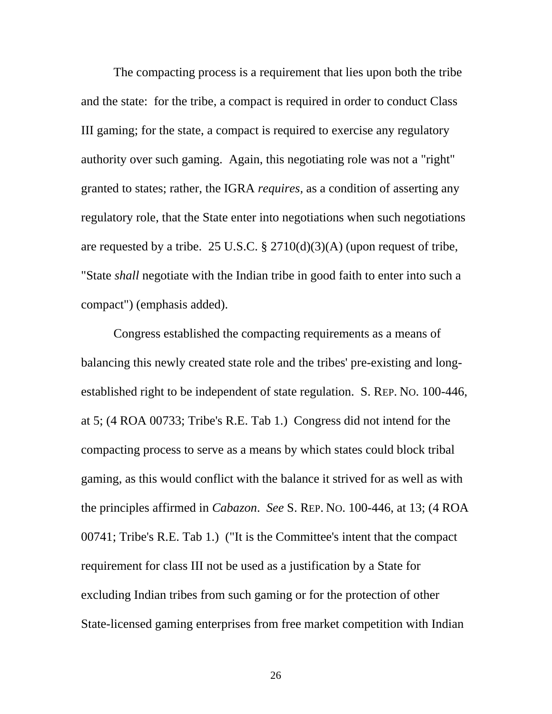The compacting process is a requirement that lies upon both the tribe and the state: for the tribe, a compact is required in order to conduct Class III gaming; for the state, a compact is required to exercise any regulatory authority over such gaming. Again, this negotiating role was not a "right" granted to states; rather, the IGRA *requires,* as a condition of asserting any regulatory role, that the State enter into negotiations when such negotiations are requested by a tribe. 25 U.S.C.  $\S 2710(d)(3)(A)$  (upon request of tribe, "State *shall* negotiate with the Indian tribe in good faith to enter into such a compact") (emphasis added).

Congress established the compacting requirements as a means of balancing this newly created state role and the tribes' pre-existing and longestablished right to be independent of state regulation. S. REP. NO. 100-446, at 5; (4 ROA 00733; Tribe's R.E. Tab 1.) Congress did not intend for the compacting process to serve as a means by which states could block tribal gaming, as this would conflict with the balance it strived for as well as with the principles affirmed in *Cabazon*. *See* S. REP. NO. 100-446, at 13; (4 ROA 00741; Tribe's R.E. Tab 1.) ("It is the Committee's intent that the compact requirement for class III not be used as a justification by a State for excluding Indian tribes from such gaming or for the protection of other State-licensed gaming enterprises from free market competition with Indian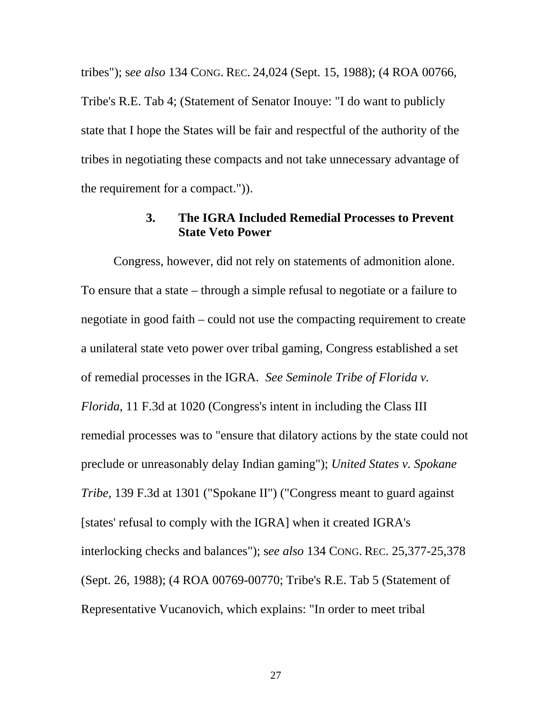tribes"); s*ee also* 134 CONG. REC. 24,024 (Sept. 15, 1988); (4 ROA 00766, Tribe's R.E. Tab 4; (Statement of Senator Inouye: "I do want to publicly state that I hope the States will be fair and respectful of the authority of the tribes in negotiating these compacts and not take unnecessary advantage of the requirement for a compact.")).

#### **3. The IGRA Included Remedial Processes to Prevent State Veto Power**

Congress, however, did not rely on statements of admonition alone. To ensure that a state – through a simple refusal to negotiate or a failure to negotiate in good faith – could not use the compacting requirement to create a unilateral state veto power over tribal gaming, Congress established a set of remedial processes in the IGRA. *See Seminole Tribe of Florida v. Florida*, 11 F.3d at 1020 (Congress's intent in including the Class III remedial processes was to "ensure that dilatory actions by the state could not preclude or unreasonably delay Indian gaming"); *United States v. Spokane Tribe*, 139 F.3d at 1301 ("Spokane II") ("Congress meant to guard against [states' refusal to comply with the IGRA] when it created IGRA's interlocking checks and balances"); s*ee also* 134 CONG. REC. 25,377-25,378 (Sept. 26, 1988); (4 ROA 00769-00770; Tribe's R.E. Tab 5 (Statement of Representative Vucanovich, which explains: "In order to meet tribal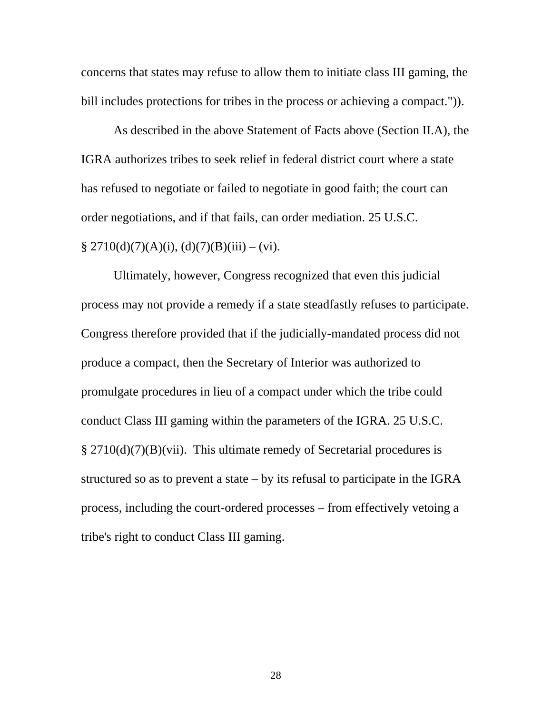concerns that states may refuse to allow them to initiate class III gaming, the bill includes protections for tribes in the process or achieving a compact.")).

As described in the above Statement of Facts above (Section II.A), the IGRA authorizes tribes to seek relief in federal district court where a state has refused to negotiate or failed to negotiate in good faith; the court can order negotiations, and if that fails, can order mediation. 25 U.S.C.  $§ 2710(d)(7)(A)(i), (d)(7)(B)(iii) - (vi).$ 

Ultimately, however, Congress recognized that even this judicial process may not provide a remedy if a state steadfastly refuses to participate. Congress therefore provided that if the judicially-mandated process did not produce a compact, then the Secretary of Interior was authorized to promulgate procedures in lieu of a compact under which the tribe could conduct Class III gaming within the parameters of the IGRA. 25 U.S.C. § 2710(d)(7)(B)(vii). This ultimate remedy of Secretarial procedures is structured so as to prevent a state – by its refusal to participate in the IGRA process, including the court-ordered processes – from effectively vetoing a tribe's right to conduct Class III gaming.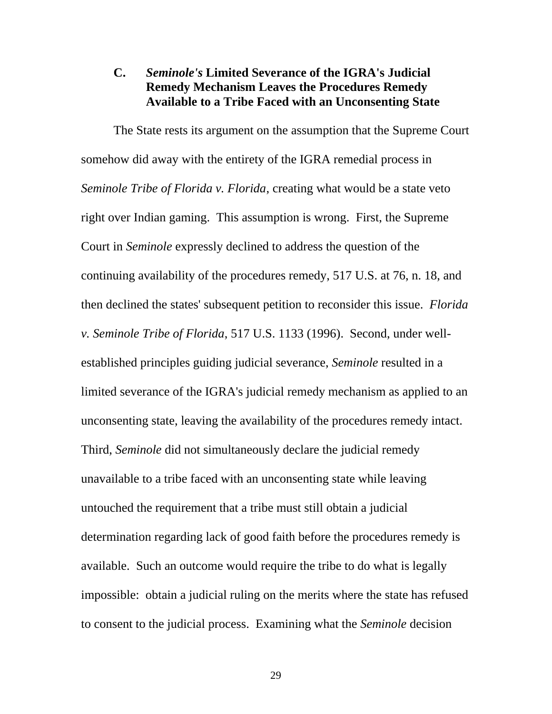## **C.** *Seminole's* **Limited Severance of the IGRA's Judicial Remedy Mechanism Leaves the Procedures Remedy Available to a Tribe Faced with an Unconsenting State**

The State rests its argument on the assumption that the Supreme Court somehow did away with the entirety of the IGRA remedial process in *Seminole Tribe of Florida v. Florida*, creating what would be a state veto right over Indian gaming. This assumption is wrong. First, the Supreme Court in *Seminole* expressly declined to address the question of the continuing availability of the procedures remedy, 517 U.S. at 76, n. 18, and then declined the states' subsequent petition to reconsider this issue. *Florida v. Seminole Tribe of Florida*, 517 U.S. 1133 (1996). Second, under wellestablished principles guiding judicial severance, *Seminole* resulted in a limited severance of the IGRA's judicial remedy mechanism as applied to an unconsenting state, leaving the availability of the procedures remedy intact. Third, *Seminole* did not simultaneously declare the judicial remedy unavailable to a tribe faced with an unconsenting state while leaving untouched the requirement that a tribe must still obtain a judicial determination regarding lack of good faith before the procedures remedy is available. Such an outcome would require the tribe to do what is legally impossible: obtain a judicial ruling on the merits where the state has refused to consent to the judicial process. Examining what the *Seminole* decision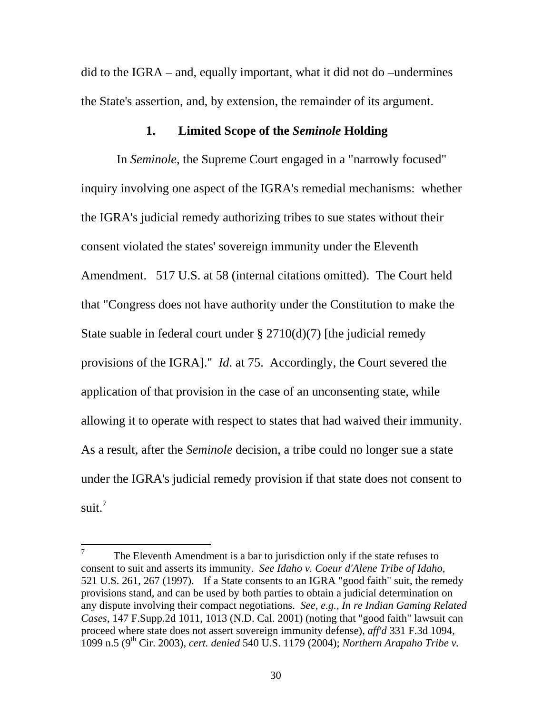did to the IGRA – and, equally important, what it did not do –undermines the State's assertion, and, by extension, the remainder of its argument.

#### **1. Limited Scope of the** *Seminole* **Holding**

 In *Seminole*, the Supreme Court engaged in a "narrowly focused" inquiry involving one aspect of the IGRA's remedial mechanisms: whether the IGRA's judicial remedy authorizing tribes to sue states without their consent violated the states' sovereign immunity under the Eleventh Amendment. 517 U.S. at 58 (internal citations omitted). The Court held that "Congress does not have authority under the Constitution to make the State suable in federal court under  $\S 2710(d)(7)$  [the judicial remedy provisions of the IGRA]." *Id*. at 75. Accordingly, the Court severed the application of that provision in the case of an unconsenting state, while allowing it to operate with respect to states that had waived their immunity. As a result, after the *Seminole* decision, a tribe could no longer sue a state under the IGRA's judicial remedy provision if that state does not consent to suit. $7$ 

<span id="page-40-0"></span><sup>7</sup>  The Eleventh Amendment is a bar to jurisdiction only if the state refuses to consent to suit and asserts its immunity. *See Idaho v. Coeur d'Alene Tribe of Idaho*, 521 U.S. 261, 267 (1997). If a State consents to an IGRA "good faith" suit, the remedy provisions stand, and can be used by both parties to obtain a judicial determination on any dispute involving their compact negotiations. *See, e.g., In re Indian Gaming Related Cases,* 147 F.Supp.2d 1011, 1013 (N.D. Cal. 2001) (noting that "good faith" lawsuit can proceed where state does not assert sovereign immunity defense), *aff'd* 331 F.3d 1094, 1099 n.5 (9th Cir. 2003), *cert. denied* 540 U.S. 1179 (2004); *Northern Arapaho Tribe v.*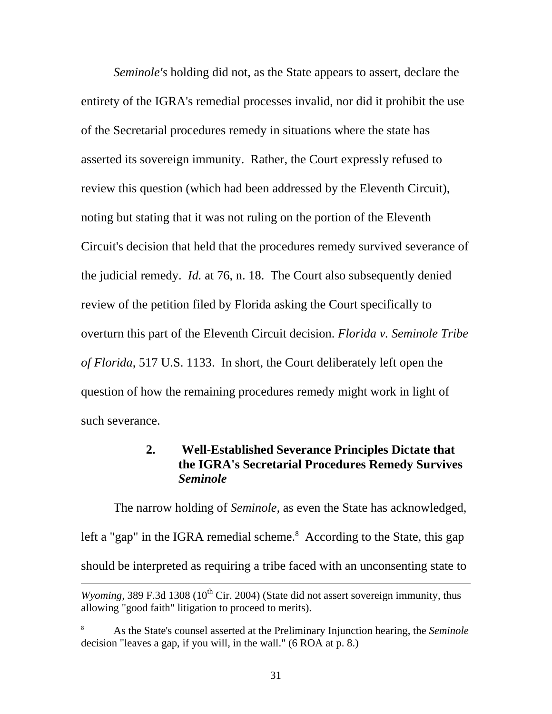*Seminole's* holding did not, as the State appears to assert, declare the entirety of the IGRA's remedial processes invalid, nor did it prohibit the use of the Secretarial procedures remedy in situations where the state has asserted its sovereign immunity. Rather, the Court expressly refused to review this question (which had been addressed by the Eleventh Circuit), noting but stating that it was not ruling on the portion of the Eleventh Circuit's decision that held that the procedures remedy survived severance of the judicial remedy. *Id.* at 76, n. 18. The Court also subsequently denied review of the petition filed by Florida asking the Court specifically to overturn this part of the Eleventh Circuit decision. *Florida v. Seminole Tribe of Florida*, 517 U.S. 1133. In short, the Court deliberately left open the question of how the remaining procedures remedy might work in light of such severance.

#### **2. Well-Established Severance Principles Dictate that the IGRA's Secretarial Procedures Remedy Survives**  *Seminole*

The narrow holding of *Seminole,* as even the State has acknowledged, left a "gap" in the IGRA remedial scheme.<sup>[8](#page-41-0)</sup> According to the State, this gap should be interpreted as requiring a tribe faced with an unconsenting state to

 $\overline{a}$ 

*Wyoming,* 389 F.3d 1308 ( $10^{th}$  Cir. 2004) (State did not assert sovereign immunity, thus allowing "good faith" litigation to proceed to merits).

<span id="page-41-0"></span><sup>8</sup> As the State's counsel asserted at the Preliminary Injunction hearing, the *Seminole*  decision "leaves a gap, if you will, in the wall." (6 ROA at p. 8.)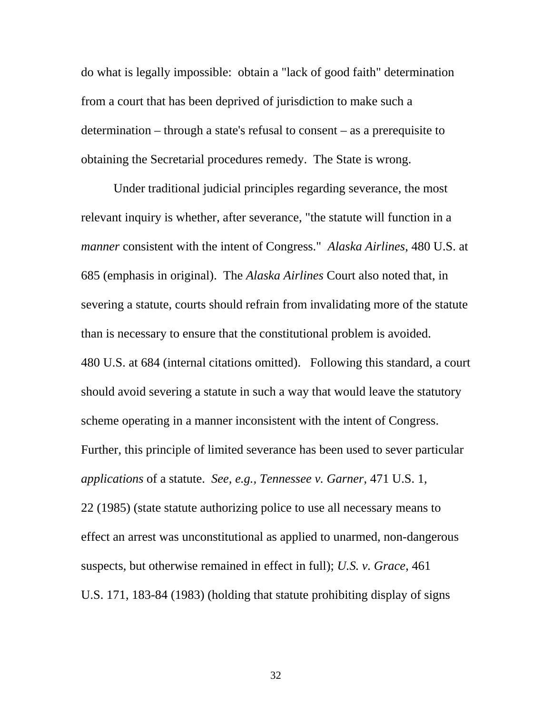do what is legally impossible: obtain a "lack of good faith" determination from a court that has been deprived of jurisdiction to make such a determination – through a state's refusal to consent – as a prerequisite to obtaining the Secretarial procedures remedy. The State is wrong.

Under traditional judicial principles regarding severance, the most relevant inquiry is whether, after severance, "the statute will function in a *manner* consistent with the intent of Congress." *Alaska Airlines*, 480 U.S. at 685 (emphasis in original). The *Alaska Airlines* Court also noted that, in severing a statute, courts should refrain from invalidating more of the statute than is necessary to ensure that the constitutional problem is avoided. 480 U.S. at 684 (internal citations omitted). Following this standard, a court should avoid severing a statute in such a way that would leave the statutory scheme operating in a manner inconsistent with the intent of Congress. Further, this principle of limited severance has been used to sever particular *applications* of a statute. *See, e.g., Tennessee v. Garner*, 471 U.S. 1, 22 (1985) (state statute authorizing police to use all necessary means to effect an arrest was unconstitutional as applied to unarmed, non-dangerous suspects, but otherwise remained in effect in full); *U.S. v. Grace*, 461 U.S. 171, 183-84 (1983) (holding that statute prohibiting display of signs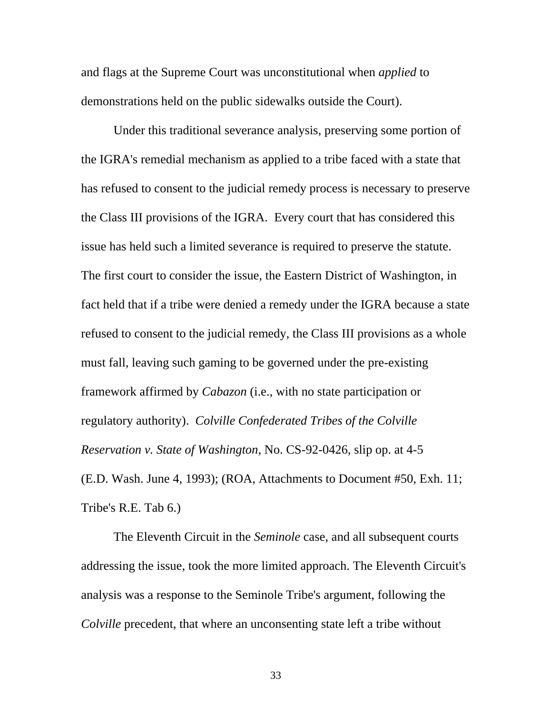and flags at the Supreme Court was unconstitutional when *applied* to demonstrations held on the public sidewalks outside the Court).

Under this traditional severance analysis, preserving some portion of the IGRA's remedial mechanism as applied to a tribe faced with a state that has refused to consent to the judicial remedy process is necessary to preserve the Class III provisions of the IGRA. Every court that has considered this issue has held such a limited severance is required to preserve the statute. The first court to consider the issue, the Eastern District of Washington, in fact held that if a tribe were denied a remedy under the IGRA because a state refused to consent to the judicial remedy, the Class III provisions as a whole must fall, leaving such gaming to be governed under the pre-existing framework affirmed by *Cabazon* (i.e., with no state participation or regulatory authority). *Colville Confederated Tribes of the Colville Reservation v. State of Washington*, No. CS-92-0426, slip op. at 4-5 (E.D. Wash. June 4, 1993); (ROA, Attachments to Document #50, Exh. 11; Tribe's R.E. Tab 6.)

The Eleventh Circuit in the *Seminole* case, and all subsequent courts addressing the issue, took the more limited approach. The Eleventh Circuit's analysis was a response to the Seminole Tribe's argument, following the *Colville* precedent, that where an unconsenting state left a tribe without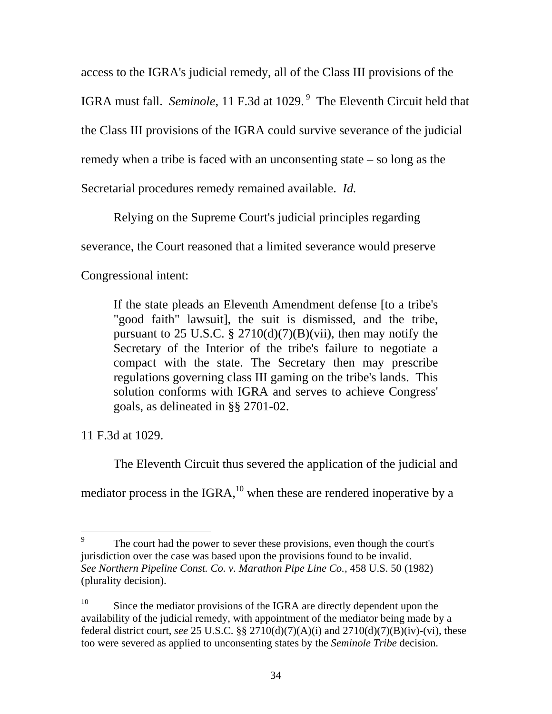access to the IGRA's judicial remedy, all of the Class III provisions of the IGRA must fall. *Seminole*, 11 F.3d at 1029.<sup>9</sup> The Eleventh Circuit held that the Class III provisions of the IGRA could survive severance of the judicial remedy when a tribe is faced with an unconsenting state – so long as the Secretarial procedures remedy remained available. *Id.*

Relying on the Supreme Court's judicial principles regarding

severance, the Court reasoned that a limited severance would preserve

Congressional intent:

If the state pleads an Eleventh Amendment defense [to a tribe's "good faith" lawsuit], the suit is dismissed, and the tribe, pursuant to 25 U.S.C. §  $2710(d)(7)(B)(vii)$ , then may notify the Secretary of the Interior of the tribe's failure to negotiate a compact with the state. The Secretary then may prescribe regulations governing class III gaming on the tribe's lands. This solution conforms with IGRA and serves to achieve Congress' goals, as delineated in §§ 2701-02.

11 F.3d at 1029.

The Eleventh Circuit thus severed the application of the judicial and

mediator process in the IGRA, $^{10}$  when these are rendered inoperative by a

<span id="page-44-0"></span><sup>-&</sup>lt;br>9 The court had the power to sever these provisions, even though the court's jurisdiction over the case was based upon the provisions found to be invalid. *See Northern Pipeline Const. Co. v. Marathon Pipe Line Co.,* 458 U.S. 50 (1982) (plurality decision).

<span id="page-44-1"></span><sup>&</sup>lt;sup>10</sup> Since the mediator provisions of the IGRA are directly dependent upon the availability of the judicial remedy, with appointment of the mediator being made by a federal district court, *see* 25 U.S.C. §§ 2710(d)(7)(A)(i) and 2710(d)(7)(B)(iv)-(vi), these too were severed as applied to unconsenting states by the *Seminole Tribe* decision.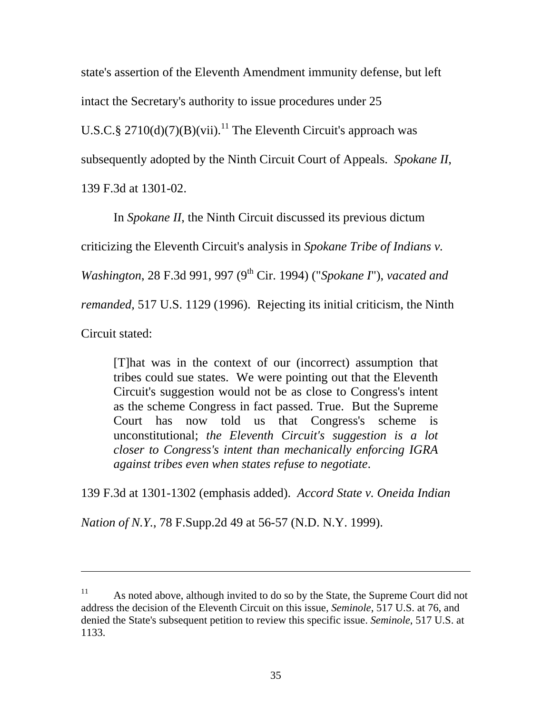state's assertion of the Eleventh Amendment immunity defense, but left intact the Secretary's authority to issue procedures under 25 U.S.C.§ 2710(d)(7)(B)(vii).<sup>11</sup> The Eleventh Circuit's approach was subsequently adopted by the Ninth Circuit Court of Appeals. *Spokane II*, 139 F.3d at 1301-02.

In *Spokane II*, the Ninth Circuit discussed its previous dictum criticizing the Eleventh Circuit's analysis in *Spokane Tribe of Indians v. Washington*, 28 F.3d 991, 997 (9<sup>th</sup> Cir. 1994) ("*Spokane I*"), *vacated and remanded,* 517 U.S. 1129 (1996). Rejecting its initial criticism, the Ninth Circuit stated:

[T]hat was in the context of our (incorrect) assumption that tribes could sue states. We were pointing out that the Eleventh Circuit's suggestion would not be as close to Congress's intent as the scheme Congress in fact passed. True. But the Supreme Court has now told us that Congress's scheme is unconstitutional; *the Eleventh Circuit's suggestion is a lot closer to Congress's intent than mechanically enforcing IGRA against tribes even when states refuse to negotiate*.

139 F.3d at 1301-1302 (emphasis added). *Accord State v. Oneida Indian* 

*Nation of N.Y.*, 78 F.Supp.2d 49 at 56-57 (N.D. N.Y. 1999).

 $\overline{a}$ 

<span id="page-45-0"></span><sup>&</sup>lt;sup>11</sup> As noted above, although invited to do so by the State, the Supreme Court did not address the decision of the Eleventh Circuit on this issue, *Seminole*, 517 U.S. at 76, and denied the State's subsequent petition to review this specific issue. *Seminole*, 517 U.S. at 1133.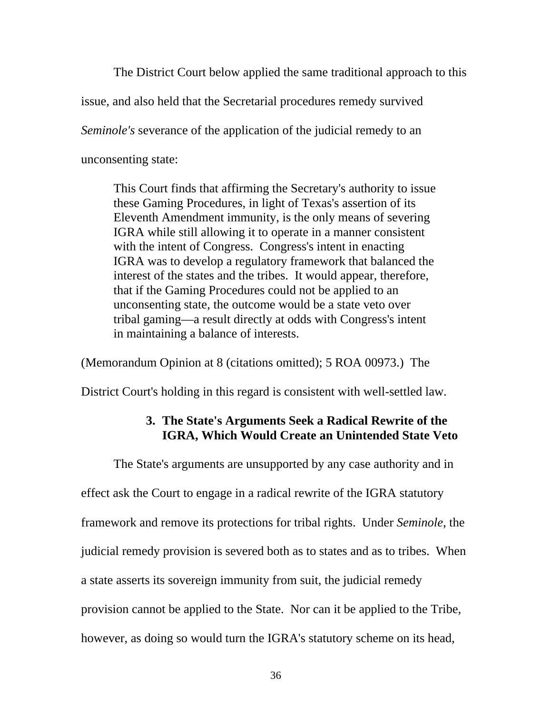The District Court below applied the same traditional approach to this issue, and also held that the Secretarial procedures remedy survived *Seminole's* severance of the application of the judicial remedy to an unconsenting state:

This Court finds that affirming the Secretary's authority to issue these Gaming Procedures, in light of Texas's assertion of its Eleventh Amendment immunity, is the only means of severing IGRA while still allowing it to operate in a manner consistent with the intent of Congress. Congress's intent in enacting IGRA was to develop a regulatory framework that balanced the interest of the states and the tribes. It would appear, therefore, that if the Gaming Procedures could not be applied to an unconsenting state, the outcome would be a state veto over tribal gaming—a result directly at odds with Congress's intent in maintaining a balance of interests.

(Memorandum Opinion at 8 (citations omitted); 5 ROA 00973.) The

District Court's holding in this regard is consistent with well-settled law.

#### **3. The State's Arguments Seek a Radical Rewrite of the IGRA, Which Would Create an Unintended State Veto**

The State's arguments are unsupported by any case authority and in effect ask the Court to engage in a radical rewrite of the IGRA statutory framework and remove its protections for tribal rights. Under *Seminole*, the judicial remedy provision is severed both as to states and as to tribes. When a state asserts its sovereign immunity from suit, the judicial remedy provision cannot be applied to the State. Nor can it be applied to the Tribe, however, as doing so would turn the IGRA's statutory scheme on its head,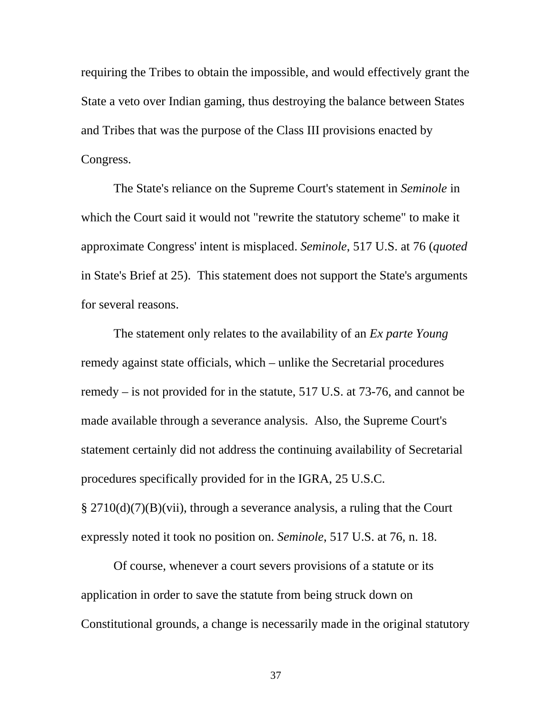requiring the Tribes to obtain the impossible, and would effectively grant the State a veto over Indian gaming, thus destroying the balance between States and Tribes that was the purpose of the Class III provisions enacted by Congress.

The State's reliance on the Supreme Court's statement in *Seminole* in which the Court said it would not "rewrite the statutory scheme" to make it approximate Congress' intent is misplaced. *Seminole*, 517 U.S. at 76 (*quoted* in State's Brief at 25). This statement does not support the State's arguments for several reasons.

The statement only relates to the availability of an *Ex parte Young* remedy against state officials, which – unlike the Secretarial procedures remedy – is not provided for in the statute, 517 U.S. at 73-76, and cannot be made available through a severance analysis. Also, the Supreme Court's statement certainly did not address the continuing availability of Secretarial procedures specifically provided for in the IGRA, 25 U.S.C. § 2710(d)(7)(B)(vii), through a severance analysis, a ruling that the Court expressly noted it took no position on. *Seminole*, 517 U.S. at 76, n. 18.

Of course, whenever a court severs provisions of a statute or its application in order to save the statute from being struck down on Constitutional grounds, a change is necessarily made in the original statutory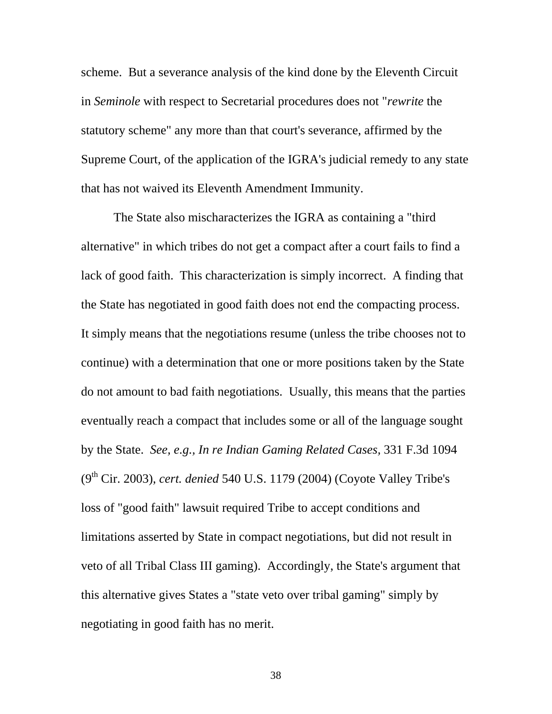scheme. But a severance analysis of the kind done by the Eleventh Circuit in *Seminole* with respect to Secretarial procedures does not "*rewrite* the statutory scheme" any more than that court's severance, affirmed by the Supreme Court, of the application of the IGRA's judicial remedy to any state that has not waived its Eleventh Amendment Immunity.

The State also mischaracterizes the IGRA as containing a "third alternative" in which tribes do not get a compact after a court fails to find a lack of good faith. This characterization is simply incorrect. A finding that the State has negotiated in good faith does not end the compacting process. It simply means that the negotiations resume (unless the tribe chooses not to continue) with a determination that one or more positions taken by the State do not amount to bad faith negotiations. Usually, this means that the parties eventually reach a compact that includes some or all of the language sought by the State. *See, e.g., In re Indian Gaming Related Cases,* 331 F.3d 1094 (9th Cir. 2003), *cert. denied* 540 U.S. 1179 (2004) (Coyote Valley Tribe's loss of "good faith" lawsuit required Tribe to accept conditions and limitations asserted by State in compact negotiations, but did not result in veto of all Tribal Class III gaming). Accordingly, the State's argument that this alternative gives States a "state veto over tribal gaming" simply by negotiating in good faith has no merit.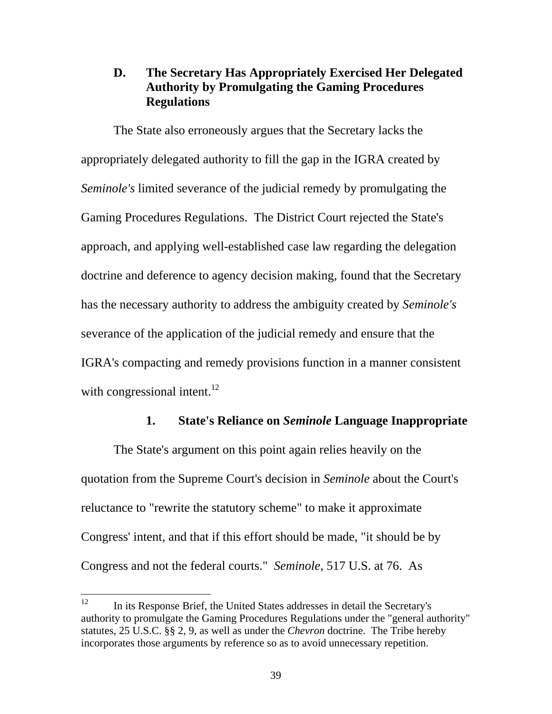## **D. The Secretary Has Appropriately Exercised Her Delegated Authority by Promulgating the Gaming Procedures Regulations**

The State also erroneously argues that the Secretary lacks the appropriately delegated authority to fill the gap in the IGRA created by *Seminole's* limited severance of the judicial remedy by promulgating the Gaming Procedures Regulations. The District Court rejected the State's approach, and applying well-established case law regarding the delegation doctrine and deference to agency decision making, found that the Secretary has the necessary authority to address the ambiguity created by *Seminole's*  severance of the application of the judicial remedy and ensure that the IGRA's compacting and remedy provisions function in a manner consistent with congressional intent.<sup>12</sup>

#### **1. State's Reliance on** *Seminole* **Language Inappropriate**

The State's argument on this point again relies heavily on the quotation from the Supreme Court's decision in *Seminole* about the Court's reluctance to "rewrite the statutory scheme" to make it approximate Congress' intent, and that if this effort should be made, "it should be by Congress and not the federal courts." *Seminole*, 517 U.S. at 76. As

<span id="page-49-0"></span><sup>12</sup> 12 In its Response Brief, the United States addresses in detail the Secretary's authority to promulgate the Gaming Procedures Regulations under the "general authority" statutes, 25 U.S.C. §§ 2, 9, as well as under the *Chevron* doctrine. The Tribe hereby incorporates those arguments by reference so as to avoid unnecessary repetition.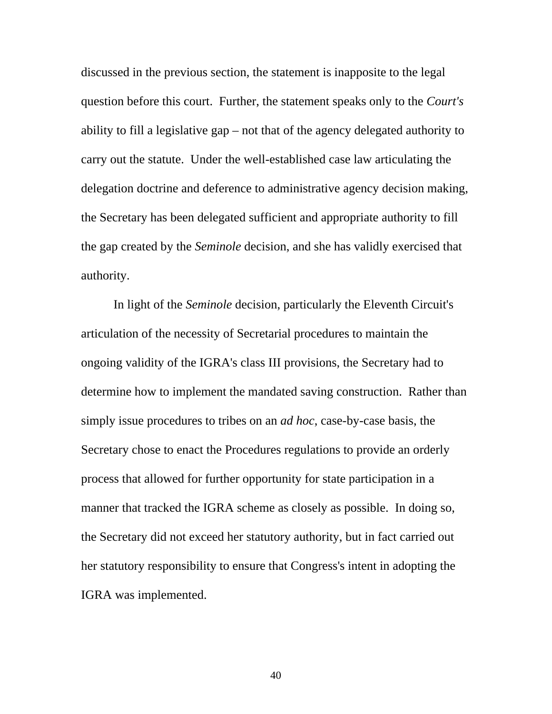discussed in the previous section, the statement is inapposite to the legal question before this court. Further, the statement speaks only to the *Court's* ability to fill a legislative gap – not that of the agency delegated authority to carry out the statute. Under the well-established case law articulating the delegation doctrine and deference to administrative agency decision making, the Secretary has been delegated sufficient and appropriate authority to fill the gap created by the *Seminole* decision, and she has validly exercised that authority.

In light of the *Seminole* decision, particularly the Eleventh Circuit's articulation of the necessity of Secretarial procedures to maintain the ongoing validity of the IGRA's class III provisions, the Secretary had to determine how to implement the mandated saving construction. Rather than simply issue procedures to tribes on an *ad hoc*, case-by-case basis, the Secretary chose to enact the Procedures regulations to provide an orderly process that allowed for further opportunity for state participation in a manner that tracked the IGRA scheme as closely as possible. In doing so, the Secretary did not exceed her statutory authority, but in fact carried out her statutory responsibility to ensure that Congress's intent in adopting the IGRA was implemented.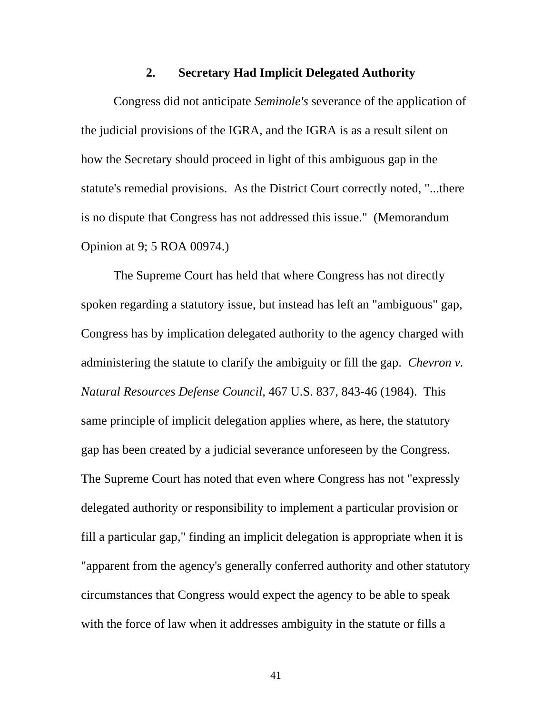#### **2. Secretary Had Implicit Delegated Authority**

Congress did not anticipate *Seminole's* severance of the application of the judicial provisions of the IGRA, and the IGRA is as a result silent on how the Secretary should proceed in light of this ambiguous gap in the statute's remedial provisions. As the District Court correctly noted, "...there is no dispute that Congress has not addressed this issue." (Memorandum Opinion at 9; 5 ROA 00974.)

The Supreme Court has held that where Congress has not directly spoken regarding a statutory issue, but instead has left an "ambiguous" gap, Congress has by implication delegated authority to the agency charged with administering the statute to clarify the ambiguity or fill the gap. *Chevron v. Natural Resources Defense Council,* 467 U.S. 837, 843-46 (1984). This same principle of implicit delegation applies where, as here, the statutory gap has been created by a judicial severance unforeseen by the Congress. The Supreme Court has noted that even where Congress has not "expressly delegated authority or responsibility to implement a particular provision or fill a particular gap," finding an implicit delegation is appropriate when it is "apparent from the agency's generally conferred authority and other statutory circumstances that Congress would expect the agency to be able to speak with the force of law when it addresses ambiguity in the statute or fills a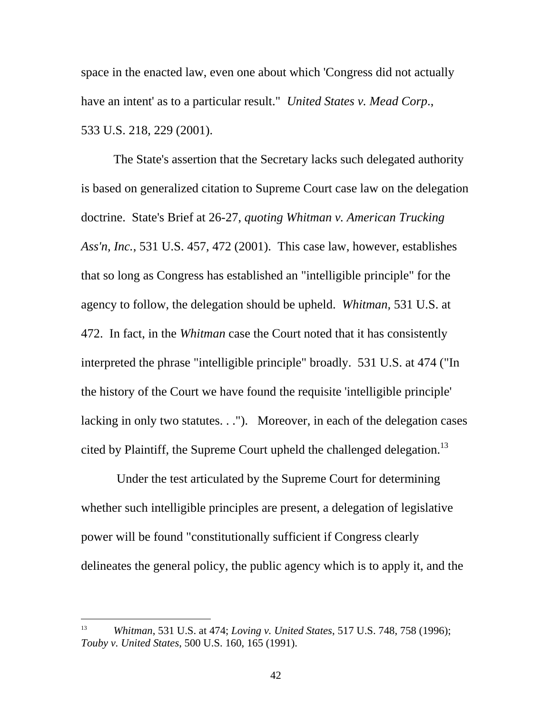space in the enacted law, even one about which 'Congress did not actually have an intent' as to a particular result." *United States v. Mead Corp*., 533 U.S. 218, 229 (2001).

The State's assertion that the Secretary lacks such delegated authority is based on generalized citation to Supreme Court case law on the delegation doctrine. State's Brief at 26-27, *quoting Whitman v. American Trucking Ass'n, Inc.*, 531 U.S. 457, 472 (2001). This case law, however, establishes that so long as Congress has established an "intelligible principle" for the agency to follow, the delegation should be upheld. *Whitman,* 531 U.S. at 472. In fact, in the *Whitman* case the Court noted that it has consistently interpreted the phrase "intelligible principle" broadly. 531 U.S. at 474 ("In the history of the Court we have found the requisite 'intelligible principle' lacking in only two statutes. . ."). Moreover, in each of the delegation cases cited by Plaintiff, the Supreme Court upheld the challenged delegation.<sup>13</sup>

 Under the test articulated by the Supreme Court for determining whether such intelligible principles are present, a delegation of legislative power will be found "constitutionally sufficient if Congress clearly delineates the general policy, the public agency which is to apply it, and the

 $\overline{a}$ 

<span id="page-52-0"></span><sup>13</sup> *Whitman*, 531 U.S. at 474; *Loving v. United States*, 517 U.S. 748, 758 (1996); *Touby v. United States*, 500 U.S. 160, 165 (1991).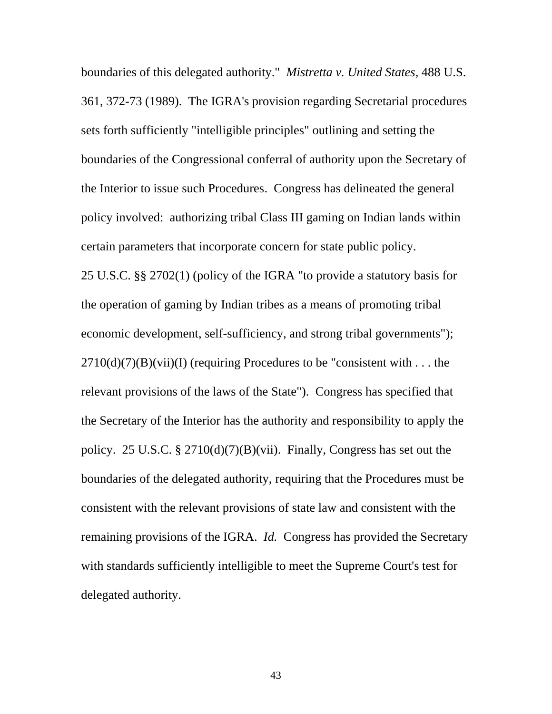boundaries of this delegated authority." *Mistretta v. United States,* 488 U.S. 361, 372-73 (1989). The IGRA's provision regarding Secretarial procedures sets forth sufficiently "intelligible principles" outlining and setting the boundaries of the Congressional conferral of authority upon the Secretary of the Interior to issue such Procedures. Congress has delineated the general policy involved: authorizing tribal Class III gaming on Indian lands within certain parameters that incorporate concern for state public policy. 25 U.S.C. §§ 2702(1) (policy of the IGRA "to provide a statutory basis for the operation of gaming by Indian tribes as a means of promoting tribal economic development, self-sufficiency, and strong tribal governments");  $2710(d)(7)(B)(vii)(I)$  (requiring Procedures to be "consistent with ... the relevant provisions of the laws of the State"). Congress has specified that the Secretary of the Interior has the authority and responsibility to apply the policy. 25 U.S.C. § 2710(d)(7)(B)(vii). Finally, Congress has set out the boundaries of the delegated authority, requiring that the Procedures must be consistent with the relevant provisions of state law and consistent with the remaining provisions of the IGRA. *Id.* Congress has provided the Secretary with standards sufficiently intelligible to meet the Supreme Court's test for delegated authority.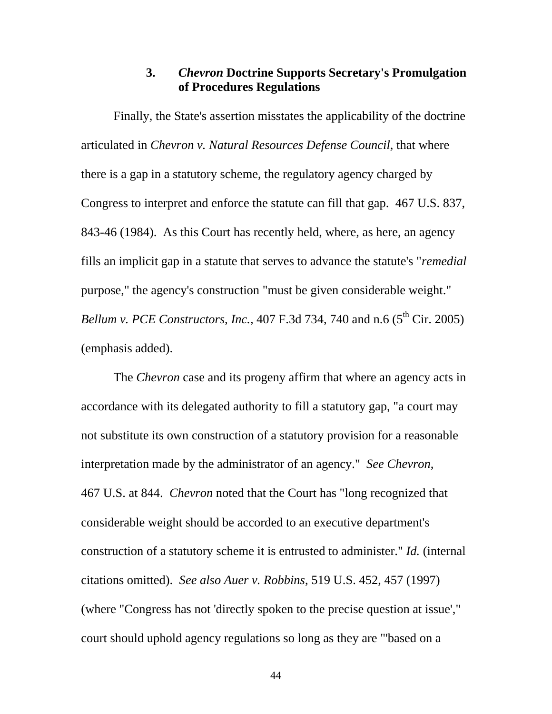### **3.** *Chevron* **Doctrine Supports Secretary's Promulgation of Procedures Regulations**

Finally, the State's assertion misstates the applicability of the doctrine articulated in *Chevron v. Natural Resources Defense Council*, that where there is a gap in a statutory scheme, the regulatory agency charged by Congress to interpret and enforce the statute can fill that gap. 467 U.S. 837, 843-46 (1984). As this Court has recently held, where, as here, an agency fills an implicit gap in a statute that serves to advance the statute's "*remedial* purpose," the agency's construction "must be given considerable weight." *Bellum v. PCE Constructors, Inc., 407 F.3d 734, 740 and n.6 (5<sup>th</sup> Cir. 2005)* (emphasis added).

The *Chevron* case and its progeny affirm that where an agency acts in accordance with its delegated authority to fill a statutory gap, "a court may not substitute its own construction of a statutory provision for a reasonable interpretation made by the administrator of an agency." *See Chevron*, 467 U.S. at 844. *Chevron* noted that the Court has "long recognized that considerable weight should be accorded to an executive department's construction of a statutory scheme it is entrusted to administer." *Id.* (internal citations omitted). *See also Auer v. Robbins*, 519 U.S. 452, 457 (1997) (where "Congress has not 'directly spoken to the precise question at issue'," court should uphold agency regulations so long as they are "'based on a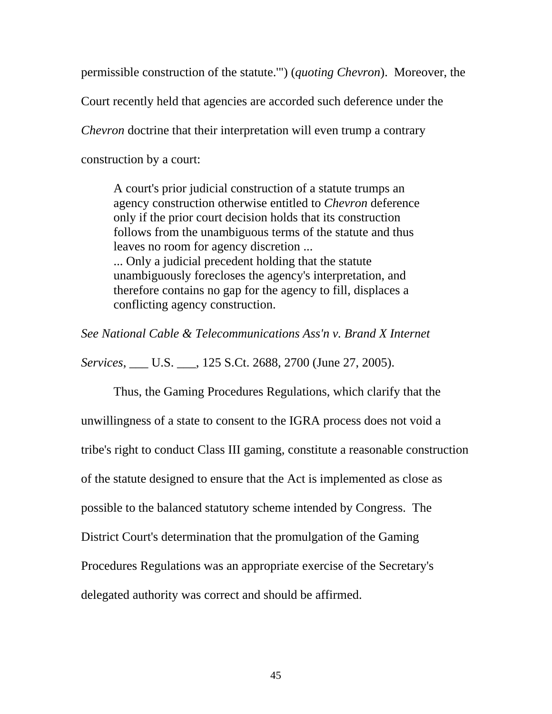permissible construction of the statute.'") (*quoting Chevron*). Moreover, the

Court recently held that agencies are accorded such deference under the

*Chevron* doctrine that their interpretation will even trump a contrary

construction by a court:

A court's prior judicial construction of a statute trumps an agency construction otherwise entitled to *Chevron* deference only if the prior court decision holds that its construction follows from the unambiguous terms of the statute and thus leaves no room for agency discretion ... ... Only a judicial precedent holding that the statute unambiguously forecloses the agency's interpretation, and therefore contains no gap for the agency to fill, displaces a conflicting agency construction.

*See National Cable & Telecommunications Ass'n v. Brand X Internet* 

*Services*, \_\_\_ U.S. \_\_\_, 125 S.Ct. 2688, 2700 (June 27, 2005).

Thus, the Gaming Procedures Regulations, which clarify that the unwillingness of a state to consent to the IGRA process does not void a tribe's right to conduct Class III gaming, constitute a reasonable construction of the statute designed to ensure that the Act is implemented as close as possible to the balanced statutory scheme intended by Congress. The District Court's determination that the promulgation of the Gaming Procedures Regulations was an appropriate exercise of the Secretary's delegated authority was correct and should be affirmed.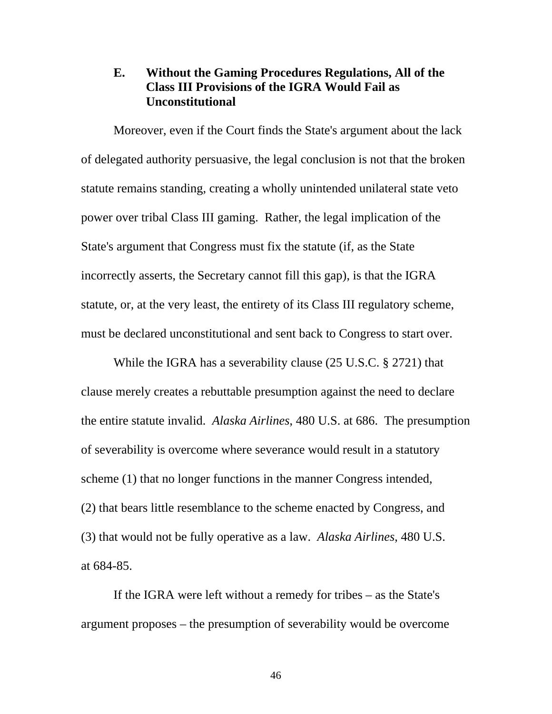#### **E. Without the Gaming Procedures Regulations, All of the Class III Provisions of the IGRA Would Fail as Unconstitutional**

Moreover, even if the Court finds the State's argument about the lack of delegated authority persuasive, the legal conclusion is not that the broken statute remains standing, creating a wholly unintended unilateral state veto power over tribal Class III gaming. Rather, the legal implication of the State's argument that Congress must fix the statute (if, as the State incorrectly asserts, the Secretary cannot fill this gap), is that the IGRA statute, or, at the very least, the entirety of its Class III regulatory scheme, must be declared unconstitutional and sent back to Congress to start over.

While the IGRA has a severability clause (25 U.S.C. § 2721) that clause merely creates a rebuttable presumption against the need to declare the entire statute invalid. *Alaska Airlines*, 480 U.S. at 686. The presumption of severability is overcome where severance would result in a statutory scheme (1) that no longer functions in the manner Congress intended, (2) that bears little resemblance to the scheme enacted by Congress, and (3) that would not be fully operative as a law. *Alaska Airlines*, 480 U.S. at 684-85.

If the IGRA were left without a remedy for tribes – as the State's argument proposes – the presumption of severability would be overcome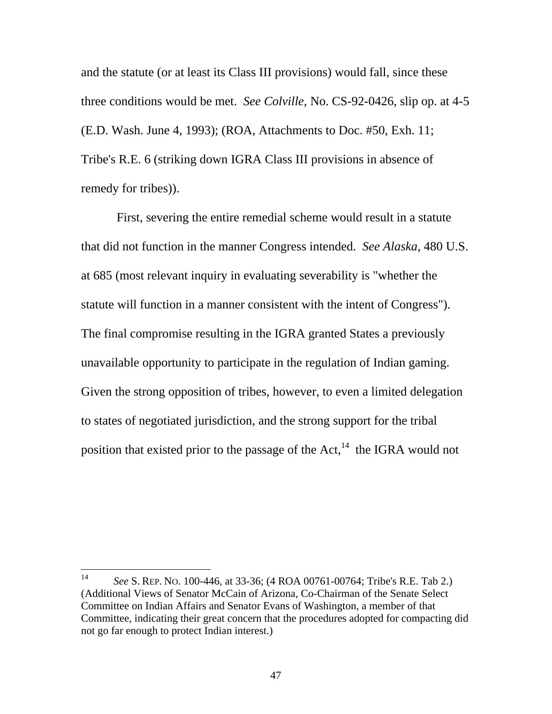and the statute (or at least its Class III provisions) would fall, since these three conditions would be met. *See Colville,* No. CS-92-0426, slip op. at 4-5 (E.D. Wash. June 4, 1993); (ROA, Attachments to Doc. #50, Exh. 11; Tribe's R.E. 6 (striking down IGRA Class III provisions in absence of remedy for tribes)).

 First, severing the entire remedial scheme would result in a statute that did not function in the manner Congress intended. *See Alaska*, 480 U.S. at 685 (most relevant inquiry in evaluating severability is "whether the statute will function in a manner consistent with the intent of Congress"). The final compromise resulting in the IGRA granted States a previously unavailable opportunity to participate in the regulation of Indian gaming. Given the strong opposition of tribes, however, to even a limited delegation to states of negotiated jurisdiction, and the strong support for the tribal position that existed prior to the passage of the Act, $^{14}$  the IGRA would not

<span id="page-57-0"></span> $14$ 14 *See* S. REP. NO. 100-446, at 33-36; (4 ROA 00761-00764; Tribe's R.E. Tab 2.) (Additional Views of Senator McCain of Arizona, Co-Chairman of the Senate Select Committee on Indian Affairs and Senator Evans of Washington, a member of that Committee, indicating their great concern that the procedures adopted for compacting did not go far enough to protect Indian interest.)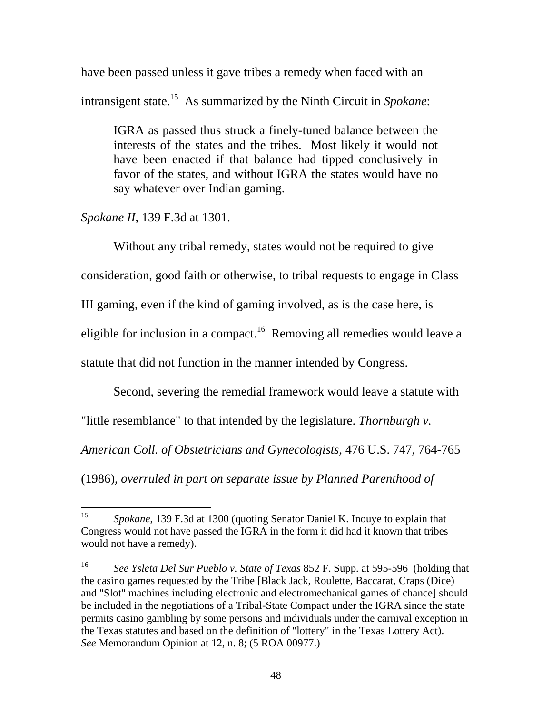have been passed unless it gave tribes a remedy when faced with an intransigent state.[15](#page-58-0) As summarized by the Ninth Circuit in *Spokane*:

IGRA as passed thus struck a finely-tuned balance between the interests of the states and the tribes. Most likely it would not have been enacted if that balance had tipped conclusively in favor of the states, and without IGRA the states would have no say whatever over Indian gaming.

*Spokane II*, 139 F.3d at 1301.

Without any tribal remedy, states would not be required to give

consideration, good faith or otherwise, to tribal requests to engage in Class

III gaming, even if the kind of gaming involved, as is the case here, is

eligible for inclusion in a compact.<sup>16</sup> Removing all remedies would leave a

statute that did not function in the manner intended by Congress.

Second, severing the remedial framework would leave a statute with

"little resemblance" to that intended by the legislature. *Thornburgh v.* 

*American Coll. of Obstetricians and Gynecologists*, 476 U.S. 747, 764-765

(1986), *overruled in part on separate issue by Planned Parenthood of* 

<span id="page-58-0"></span><sup>15</sup> 15 *Spokane*, 139 F.3d at 1300 (quoting Senator Daniel K. Inouye to explain that Congress would not have passed the IGRA in the form it did had it known that tribes would not have a remedy).

<span id="page-58-1"></span><sup>16</sup> *See Ysleta Del Sur Pueblo v. State of Texas* 852 F. Supp. at 595-596 (holding that the casino games requested by the Tribe [Black Jack, Roulette, Baccarat, Craps (Dice) and "Slot" machines including electronic and electromechanical games of chance] should be included in the negotiations of a Tribal-State Compact under the IGRA since the state permits casino gambling by some persons and individuals under the carnival exception in the Texas statutes and based on the definition of "lottery" in the Texas Lottery Act). *See* Memorandum Opinion at 12, n. 8; (5 ROA 00977.)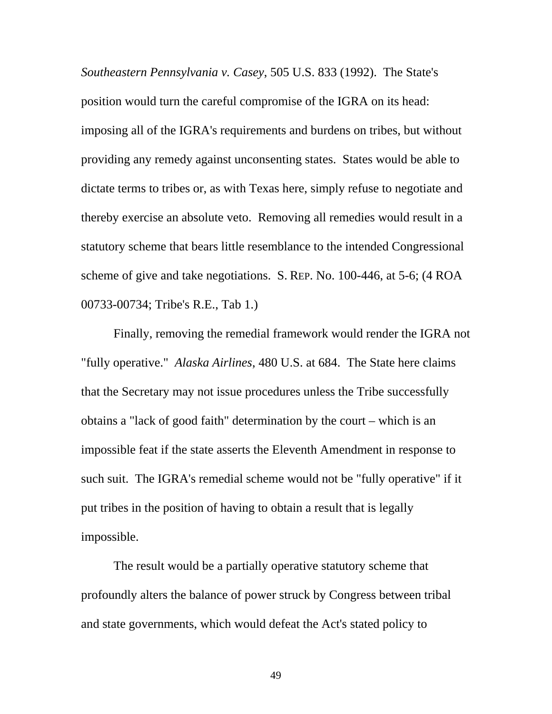*Southeastern Pennsylvania v. Casey*, 505 U.S. 833 (1992). The State's position would turn the careful compromise of the IGRA on its head: imposing all of the IGRA's requirements and burdens on tribes, but without providing any remedy against unconsenting states. States would be able to dictate terms to tribes or, as with Texas here, simply refuse to negotiate and thereby exercise an absolute veto. Removing all remedies would result in a statutory scheme that bears little resemblance to the intended Congressional scheme of give and take negotiations. S. REP. No. 100-446, at 5-6; (4 ROA 00733-00734; Tribe's R.E., Tab 1.)

Finally, removing the remedial framework would render the IGRA not "fully operative." *Alaska Airlines*, 480 U.S. at 684. The State here claims that the Secretary may not issue procedures unless the Tribe successfully obtains a "lack of good faith" determination by the court – which is an impossible feat if the state asserts the Eleventh Amendment in response to such suit. The IGRA's remedial scheme would not be "fully operative" if it put tribes in the position of having to obtain a result that is legally impossible.

The result would be a partially operative statutory scheme that profoundly alters the balance of power struck by Congress between tribal and state governments, which would defeat the Act's stated policy to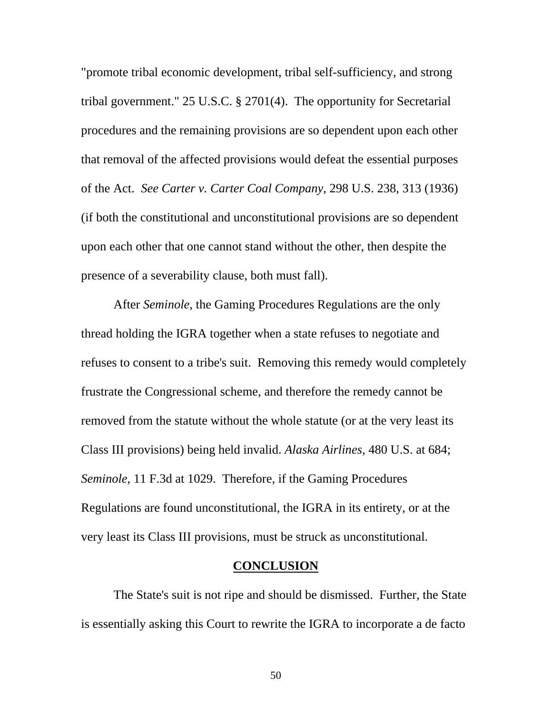"promote tribal economic development, tribal self-sufficiency, and strong tribal government." 25 U.S.C. § 2701(4). The opportunity for Secretarial procedures and the remaining provisions are so dependent upon each other that removal of the affected provisions would defeat the essential purposes of the Act. *See Carter v. Carter Coal Company*, 298 U.S. 238, 313 (1936) (if both the constitutional and unconstitutional provisions are so dependent upon each other that one cannot stand without the other, then despite the presence of a severability clause, both must fall).

After *Seminole*, the Gaming Procedures Regulations are the only thread holding the IGRA together when a state refuses to negotiate and refuses to consent to a tribe's suit. Removing this remedy would completely frustrate the Congressional scheme, and therefore the remedy cannot be removed from the statute without the whole statute (or at the very least its Class III provisions) being held invalid. *Alaska Airlines,* 480 U.S. at 684; *Seminole*, 11 F.3d at 1029. Therefore, if the Gaming Procedures Regulations are found unconstitutional, the IGRA in its entirety, or at the very least its Class III provisions, must be struck as unconstitutional.

#### **CONCLUSION**

The State's suit is not ripe and should be dismissed. Further, the State is essentially asking this Court to rewrite the IGRA to incorporate a de facto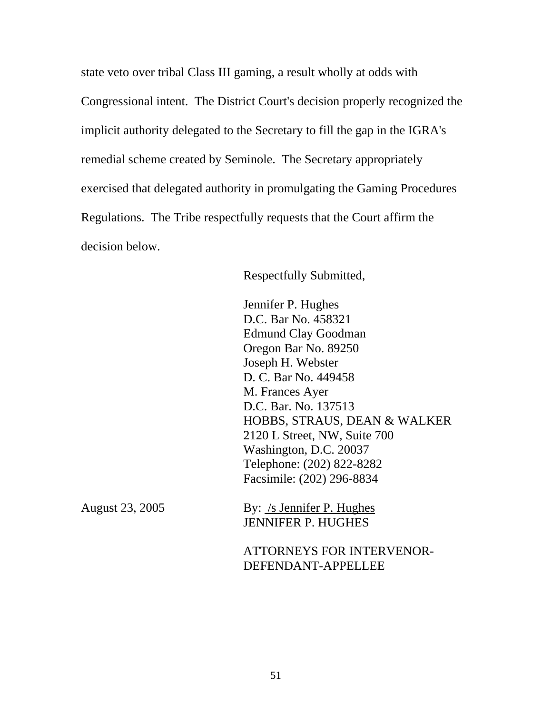state veto over tribal Class III gaming, a result wholly at odds with Congressional intent. The District Court's decision properly recognized the implicit authority delegated to the Secretary to fill the gap in the IGRA's remedial scheme created by Seminole. The Secretary appropriately exercised that delegated authority in promulgating the Gaming Procedures Regulations. The Tribe respectfully requests that the Court affirm the decision below.

Respectfully Submitted,

 Jennifer P. Hughes D.C. Bar No. 458321 Edmund Clay Goodman Oregon Bar No. 89250 Joseph H. Webster D. C. Bar No. 449458 M. Frances Ayer D.C. Bar. No. 137513 HOBBS, STRAUS, DEAN & WALKER 2120 L Street, NW, Suite 700 Washington, D.C. 20037 Telephone: (202) 822-8282 Facsimile: (202) 296-8834

August 23, 2005 By: /s Jennifer P. Hughes JENNIFER P. HUGHES

> ATTORNEYS FOR INTERVENOR-DEFENDANT-APPELLEE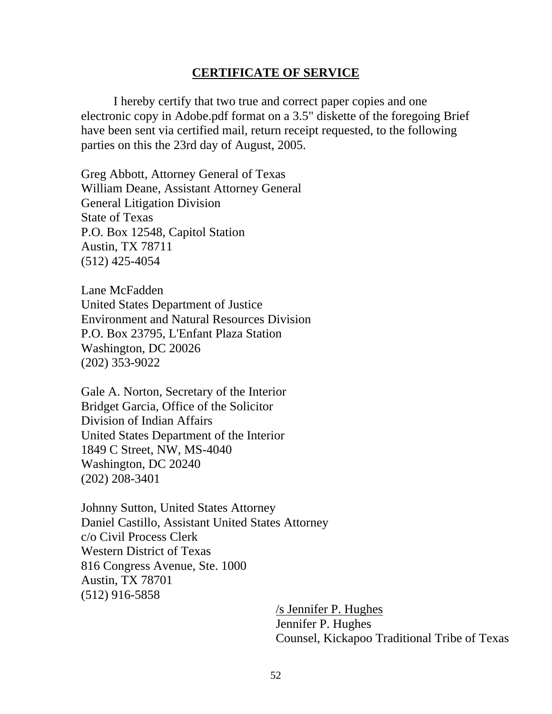#### **CERTIFICATE OF SERVICE**

I hereby certify that two true and correct paper copies and one electronic copy in Adobe.pdf format on a 3.5" diskette of the foregoing Brief have been sent via certified mail, return receipt requested, to the following parties on this the 23rd day of August, 2005.

Greg Abbott, Attorney General of Texas William Deane, Assistant Attorney General General Litigation Division State of Texas P.O. Box 12548, Capitol Station Austin, TX 78711 (512) 425-4054

Lane McFadden United States Department of Justice Environment and Natural Resources Division P.O. Box 23795, L'Enfant Plaza Station Washington, DC 20026 (202) 353-9022

Gale A. Norton, Secretary of the Interior Bridget Garcia, Office of the Solicitor Division of Indian Affairs United States Department of the Interior 1849 C Street, NW, MS-4040 Washington, DC 20240 (202) 208-3401

Johnny Sutton, United States Attorney Daniel Castillo, Assistant United States Attorney c/o Civil Process Clerk Western District of Texas 816 Congress Avenue, Ste. 1000 Austin, TX 78701 (512) 916-5858

> /s Jennifer P. Hughes Jennifer P. Hughes Counsel, Kickapoo Traditional Tribe of Texas